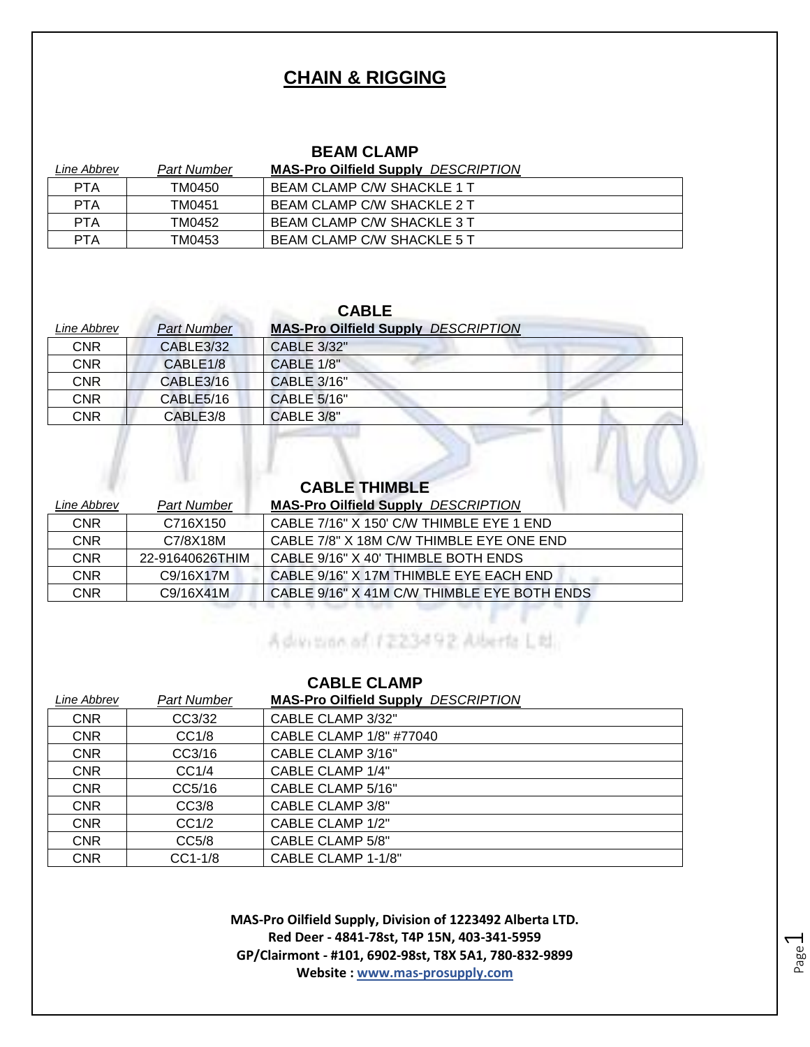#### **CHAIN & RIGGING**

#### **BEAM CLAMP**

| Line Abbrev | Part Number | <b>MAS-Pro Oilfield Supply DESCRIPTION</b> |
|-------------|-------------|--------------------------------------------|
| <b>PTA</b>  | TM0450      | BEAM CLAMP C/W SHACKLE 1 T                 |
| <b>PTA</b>  | TM0451      | BEAM CLAMP C/W SHACKLE 2 T                 |
| <b>PTA</b>  | TM0452      | BEAM CLAMP C/W SHACKLE 3 T                 |
| PTA         | TM0453      | BEAM CLAMP C/W SHACKLE 5 T                 |

#### **CABLE**

| Line Abbrev | <b>Part Number</b>   | <b>MAS-Pro Oilfield Supply DESCRIPTION</b> |
|-------------|----------------------|--------------------------------------------|
| <b>CNR</b>  | CABLE3/32            | CABLE 3/32"                                |
| <b>CNR</b>  | CABLE <sub>1/8</sub> | <b>CABLE 1/8"</b>                          |
| CNR         | CABLE3/16            | CABLE 3/16"                                |
| CNR         | CABLE5/16            | <b>CABLE 5/16"</b>                         |
| CNR         | CABLE3/8             | <b>CABLE 3/8"</b>                          |

# **CABLE THIMBLE**

| Line Abbrev | <b>Part Number</b> | <b>MAS-Pro Oilfield Supply DESCRIPTION</b>  |
|-------------|--------------------|---------------------------------------------|
| <b>CNR</b>  | C716X150           | CABLE 7/16" X 150' C/W THIMBLE EYE 1 END    |
| <b>CNR</b>  | C7/8X18M           | CABLE 7/8" X 18M C/W THIMBLE EYE ONE END    |
| <b>CNR</b>  | 22-91640626THIM    | CABLE 9/16" X 40' THIMBLE BOTH ENDS         |
| <b>CNR</b>  | C9/16X17M          | CABLE 9/16" X 17M THIMBLE EYE EACH END      |
| CNR         | C9/16X41M          | CABLE 9/16" X 41M C/W THIMBLE EYE BOTH ENDS |

Advision of 1223492 Alberta Little

#### **CABLE CLAMP**

| Line Abbrev | <b>Part Number</b> | <b>MAS-Pro Oilfield Supply DESCRIPTION</b> |
|-------------|--------------------|--------------------------------------------|
| <b>CNR</b>  | CC3/32             | CABLE CLAMP 3/32"                          |
| <b>CNR</b>  | CC1/8              | CABLE CLAMP 1/8" #77040                    |
| <b>CNR</b>  | CC3/16             | CABLE CLAMP 3/16"                          |
| <b>CNR</b>  | CC1/4              | CABLE CLAMP 1/4"                           |
| <b>CNR</b>  | CC5/16             | CABLE CLAMP 5/16"                          |
| <b>CNR</b>  | CC3/8              | CABLE CLAMP 3/8"                           |
| <b>CNR</b>  | CC1/2              | CABLE CLAMP 1/2"                           |
| <b>CNR</b>  | CC5/8              | <b>CABLE CLAMP 5/8"</b>                    |
| <b>CNR</b>  | $CC1-1/8$          | CABLE CLAMP 1-1/8"                         |

**MAS-Pro Oilfield Supply, Division of 1223492 Alberta LTD. Red Deer - 4841-78st, T4P 15N, 403-341-5959 GP/Clairmont - #101, 6902-98st, T8X 5A1, 780-832-9899 Website : www.mas-prosupply.com**

Page  $\overline{\phantom{0}}$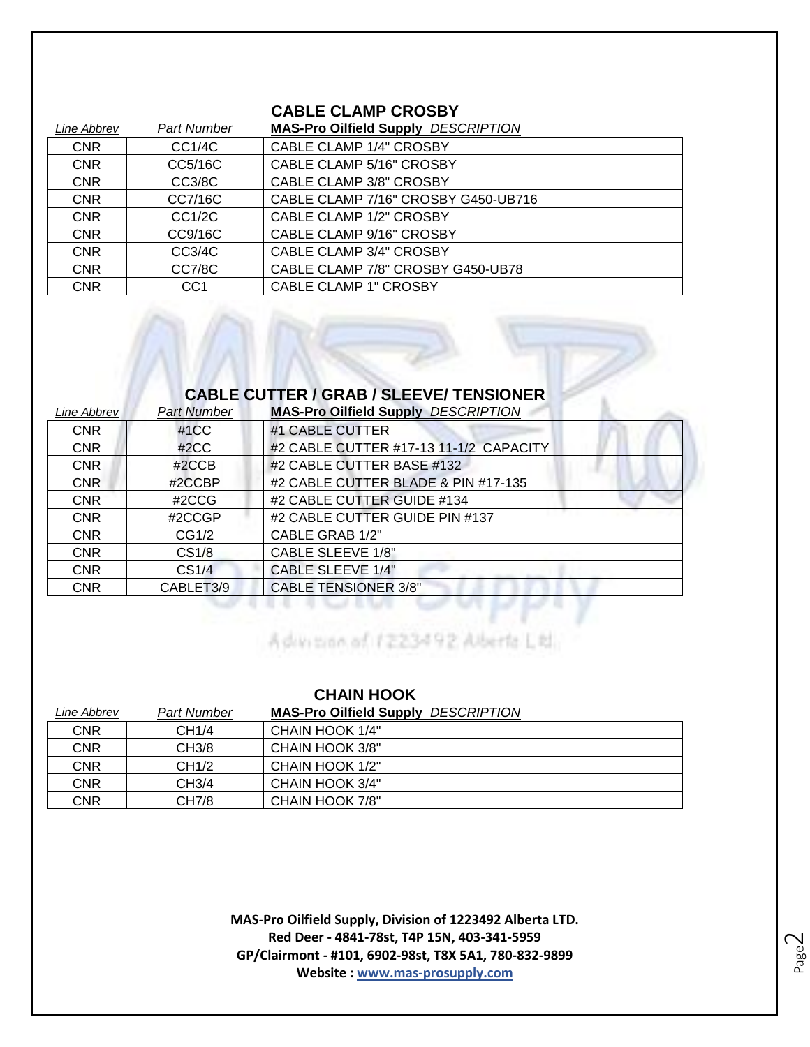#### **CABLE CLAMP CROSBY**

| Line Abbrev | Part Number     | <b>MAS-Pro Oilfield Supply DESCRIPTION</b> |
|-------------|-----------------|--------------------------------------------|
| <b>CNR</b>  | CC1/4C          | <b>CABLE CLAMP 1/4" CROSBY</b>             |
| <b>CNR</b>  | CC5/16C         | CABLE CLAMP 5/16" CROSBY                   |
| <b>CNR</b>  | CC3/8C          | <b>CABLE CLAMP 3/8" CROSBY</b>             |
| <b>CNR</b>  | CC7/16C         | CABLE CLAMP 7/16" CROSBY G450-UB716        |
| <b>CNR</b>  | CC1/2C          | <b>CABLE CLAMP 1/2" CROSBY</b>             |
| <b>CNR</b>  | CC9/16C         | <b>CABLE CLAMP 9/16" CROSBY</b>            |
| <b>CNR</b>  | CC3/4C          | <b>CABLE CLAMP 3/4" CROSBY</b>             |
| <b>CNR</b>  | CC7/8C          | CABLE CLAMP 7/8" CROSBY G450-UB78          |
| <b>CNR</b>  | CC <sub>1</sub> | <b>CABLE CLAMP 1" CROSBY</b>               |

#### **CABLE CUTTER / GRAB / SLEEVE/ TENSIONER**

| Line Abbrev | <b>Part Number</b> | <b>MAS-Pro Oilfield Supply DESCRIPTION</b> |
|-------------|--------------------|--------------------------------------------|
| <b>CNR</b>  | #1CC               | #1 CABLE CUTTER                            |
| <b>CNR</b>  | #2CC               | #2 CABLE CUTTER #17-13 11-1/2 CAPACITY     |
| <b>CNR</b>  | #2CCB              | #2 CABLE CUTTER BASE #132                  |
| <b>CNR</b>  | #2CCBP             | #2 CABLE CUTTER BLADE & PIN #17-135        |
| <b>CNR</b>  | #2CCG              | #2 CABLE CUTTER GUIDE #134                 |
| <b>CNR</b>  | #2CCGP             | #2 CABLE CUTTER GUIDE PIN #137             |
| <b>CNR</b>  | CG1/2              | CABLE GRAB 1/2"                            |
| <b>CNR</b>  | CS <sub>1/8</sub>  | <b>CABLE SLEEVE 1/8"</b>                   |
| <b>CNR</b>  | CS <sub>1/4</sub>  | <b>CABLE SLEEVE 1/4"</b>                   |
| <b>CNR</b>  | CABLET3/9          | <b>CABLE TENSIONER 3/8"</b>                |

Advision of 1223492 Aberta Ltd.

| <b>CHAIN HOOK</b> |                   |                                            |
|-------------------|-------------------|--------------------------------------------|
| Line Abbrev       | Part Number       | <b>MAS-Pro Oilfield Supply DESCRIPTION</b> |
| <b>CNR</b>        | CH1/4             | CHAIN HOOK 1/4"                            |
| <b>CNR</b>        | CH3/8             | CHAIN HOOK 3/8"                            |
| <b>CNR</b>        | CH <sub>1/2</sub> | CHAIN HOOK 1/2"                            |
| <b>CNR</b>        | CH3/4             | CHAIN HOOK 3/4"                            |
| CNR               | CH7/8             | CHAIN HOOK 7/8"                            |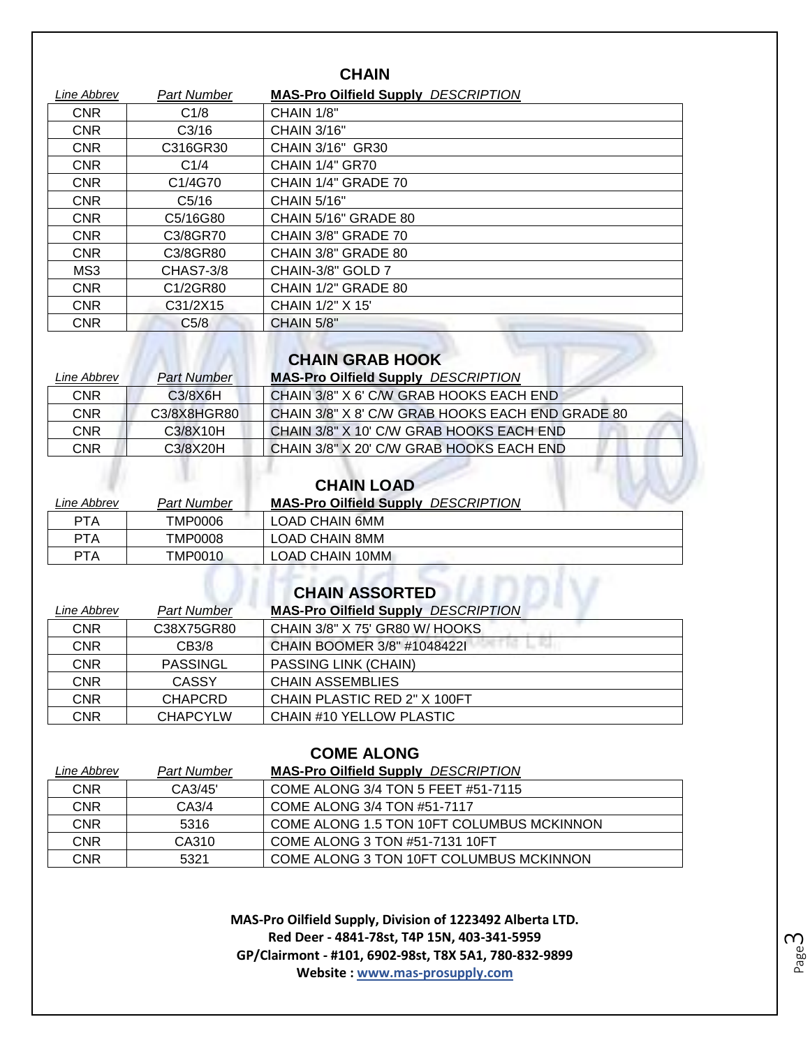| <b>CHAIN</b> |                                  |                                            |
|--------------|----------------------------------|--------------------------------------------|
| Line Abbrev  | <b>Part Number</b>               | <b>MAS-Pro Oilfield Supply DESCRIPTION</b> |
| <b>CNR</b>   | C1/8                             | CHAIN 1/8"                                 |
| <b>CNR</b>   | C <sub>3/16</sub>                | <b>CHAIN 3/16"</b>                         |
| <b>CNR</b>   | C316GR30                         | CHAIN 3/16" GR30                           |
| <b>CNR</b>   | C <sub>1/4</sub>                 | <b>CHAIN 1/4" GR70</b>                     |
| <b>CNR</b>   | C <sub>1</sub> /4G <sub>70</sub> | CHAIN 1/4" GRADE 70                        |
| <b>CNR</b>   | C <sub>5/16</sub>                | <b>CHAIN 5/16"</b>                         |
| <b>CNR</b>   | C5/16G80                         | CHAIN 5/16" GRADE 80                       |
| <b>CNR</b>   | C3/8GR70                         | CHAIN 3/8" GRADE 70                        |
| <b>CNR</b>   | C3/8GR80                         | CHAIN 3/8" GRADE 80                        |
| MS3          | CHAS7-3/8                        | CHAIN-3/8" GOLD 7                          |
| <b>CNR</b>   | C1/2GR80                         | CHAIN 1/2" GRADE 80                        |
| <b>CNR</b>   | C31/2X15                         | CHAIN 1/2" X 15"                           |
| <b>CNR</b>   | C <sub>5/8</sub>                 | CHAIN 5/8"                                 |

#### **CHAIN GRAB HOOK**

 $\overline{W}$ 

| Line Abbrev | <b>Part Number</b> | <b>MAS-Pro Oilfield Supply DESCRIPTION</b>       |
|-------------|--------------------|--------------------------------------------------|
| <b>CNR</b>  | C3/8X6H            | CHAIN 3/8" X 6' C/W GRAB HOOKS EACH END          |
| CNR         | C3/8X8HGR80        | CHAIN 3/8" X 8' C/W GRAB HOOKS EACH END GRADE 80 |
| CNR         | C3/8X10H           | CHAIN 3/8" X 10' C/W GRAB HOOKS EACH END         |
| CNR         | C3/8X20H           | CHAIN 3/8" X 20' C/W GRAB HOOKS EACH END         |

#### **CHAIN LOAD**

| Line Abbrev | Part Number    | <b>MAS-Pro Oilfield Supply</b><br><i>DESCRIPTION</i> |
|-------------|----------------|------------------------------------------------------|
| PTA         | TMP0006        | LOAD CHAIN 6MM                                       |
| <b>PTA</b>  | <b>TMP0008</b> | LOAD CHAIN 8MM                                       |
| PTA         | <b>TMP0010</b> | LOAD CHAIN 10MM                                      |

## **CHAIN ASSORTED**

| Line Abbrev | <b>Part Number</b> | <b>MAS-Pro Oilfield Supply DESCRIPTION</b> |
|-------------|--------------------|--------------------------------------------|
| <b>CNR</b>  | C38X75GR80         | CHAIN 3/8" X 75' GR80 W/ HOOKS             |
| <b>CNR</b>  | CB3/8              | CHAIN BOOMER 3/8" #10484221                |
| <b>CNR</b>  | PASSINGL           | <b>PASSING LINK (CHAIN)</b>                |
| <b>CNR</b>  | CASSY              | <b>CHAIN ASSEMBLIES</b>                    |
| <b>CNR</b>  | <b>CHAPCRD</b>     | CHAIN PLASTIC RED 2" X 100FT               |
| CNR         | <b>CHAPCYLW</b>    | CHAIN #10 YELLOW PLASTIC                   |

| <b>COME ALONG</b> |                    |                                            |  |
|-------------------|--------------------|--------------------------------------------|--|
| Line Abbrev       | <b>Part Number</b> | <b>MAS-Pro Oilfield Supply DESCRIPTION</b> |  |
| <b>CNR</b>        | CA3/45'            | COME ALONG 3/4 TON 5 FEET #51-7115         |  |
| <b>CNR</b>        | CA3/4              | COME ALONG 3/4 TON #51-7117                |  |
| <b>CNR</b>        | 5316               | COME ALONG 1.5 TON 10FT COLUMBUS MCKINNON  |  |
| <b>CNR</b>        | CA310              | COME ALONG 3 TON #51-7131 10FT             |  |
| <b>CNR</b>        | 5321               | COME ALONG 3 TON 10FT COLUMBUS MCKINNON    |  |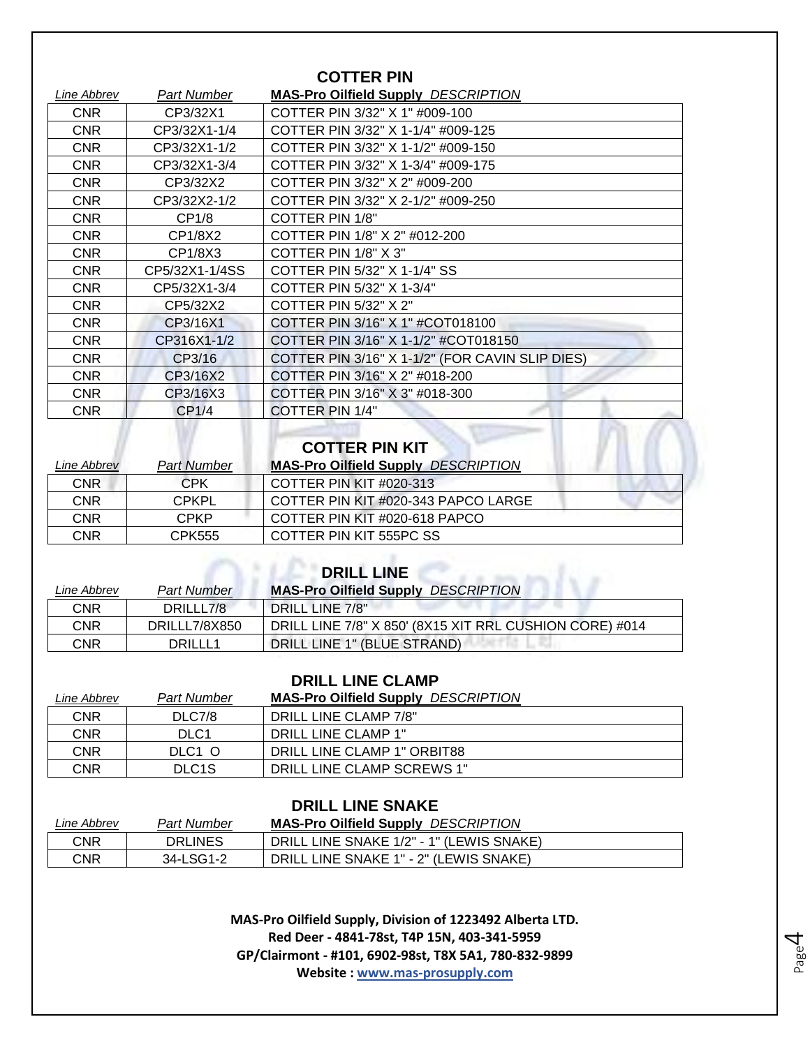| <b>COTTER PIN</b> |                                                 |  |
|-------------------|-------------------------------------------------|--|
| Part Number       | <b>MAS-Pro Oilfield Supply DESCRIPTION</b>      |  |
| CP3/32X1          | COTTER PIN 3/32" X 1" #009-100                  |  |
| CP3/32X1-1/4      | COTTER PIN 3/32" X 1-1/4" #009-125              |  |
| CP3/32X1-1/2      | COTTER PIN 3/32" X 1-1/2" #009-150              |  |
| CP3/32X1-3/4      | COTTER PIN 3/32" X 1-3/4" #009-175              |  |
| CP3/32X2          | COTTER PIN 3/32" X 2" #009-200                  |  |
| CP3/32X2-1/2      | COTTER PIN 3/32" X 2-1/2" #009-250              |  |
| CP1/8             | COTTER PIN 1/8"                                 |  |
| CP1/8X2           | COTTER PIN 1/8" X 2" #012-200                   |  |
| CP1/8X3           | COTTER PIN 1/8" X 3"                            |  |
| CP5/32X1-1/4SS    | COTTER PIN 5/32" X 1-1/4" SS                    |  |
| CP5/32X1-3/4      | COTTER PIN 5/32" X 1-3/4"                       |  |
| CP5/32X2          | COTTER PIN 5/32" X 2"                           |  |
| CP3/16X1          | COTTER PIN 3/16" X 1" #COT018100                |  |
| CP316X1-1/2       | COTTER PIN 3/16" X 1-1/2" #COT018150            |  |
| CP3/16            | COTTER PIN 3/16" X 1-1/2" (FOR CAVIN SLIP DIES) |  |
| CP3/16X2          | COTTER PIN 3/16" X 2" #018-200                  |  |
| CP3/16X3          | COTTER PIN 3/16" X 3" #018-300                  |  |
| CP1/4             | <b>COTTER PIN 1/4"</b>                          |  |
|                   |                                                 |  |

#### **COTTER PIN KIT**

| <i>Line Abbrev</i> | <b>Part Number</b> | <b>MAS-Pro Oilfield Supply DESCRIPTION</b> |
|--------------------|--------------------|--------------------------------------------|
| CNR                | CPK                | COTTER PIN KIT $#020-313$                  |
| CNR                | CPKPL.             | COTTER PIN KIT #020-343 PAPCO LARGE        |
| CNR                | <b>CPKP</b>        | COTTER PIN KIT #020-618 PAPCO              |
| CNR                | CPK555             | COTTER PIN KIT 555PC SS                    |

| <b>DRILL LINE</b> |                    |                                                         |  |
|-------------------|--------------------|---------------------------------------------------------|--|
| Line Abbrev       | <b>Part Number</b> | <b>MAS-Pro Oilfield Supply DESCRIPTION</b>              |  |
| <b>CNR</b>        | DRILLL7/8          | <b>DRILL LINE 7/8"</b>                                  |  |
| <b>CNR</b>        | DRILLL7/8X850      | DRILL LINE 7/8" X 850' (8X15 XIT RRL CUSHION CORE) #014 |  |
| CNR               | DRILLL1            | DRILL LINE 1" (BLUE STRAND)                             |  |

#### **DRILL LINE CLAMP**

| Line Abbrev | Part Number        | <b>MAS-Pro Oilfield Supply DESCRIPTION</b> |
|-------------|--------------------|--------------------------------------------|
| CNR         | DLC7/8             | DRILL LINE CLAMP 7/8"                      |
| <b>CNR</b>  | DLC <sub>1</sub>   | DRILL LINE CLAMP 1"                        |
| CNR         | DLC1 O             | DRILL LINE CLAMP 1" ORBIT88                |
| CNR         | DLC <sub>1</sub> S | DRILL LINE CLAMP SCREWS 1"                 |

#### **DRILL LINE SNAKE**

| ∟ine Abbrev | Part Number    | <b>MAS-Pro Oilfield Supply DESCRIPTION</b> |
|-------------|----------------|--------------------------------------------|
| CNR         | <b>DRLINES</b> | DRILL LINE SNAKE 1/2" - 1" (LEWIS SNAKE)   |
| CNR         | 34-LSG1-2      | DRILL LINE SNAKE 1" - 2" (LEWIS SNAKE)     |

**MAS-Pro Oilfield Supply, Division of 1223492 Alberta LTD. Red Deer - 4841-78st, T4P 15N, 403-341-5959 GP/Clairmont - #101, 6902-98st, T8X 5A1, 780-832-9899 Website : www.mas-prosupply.com**

Page 4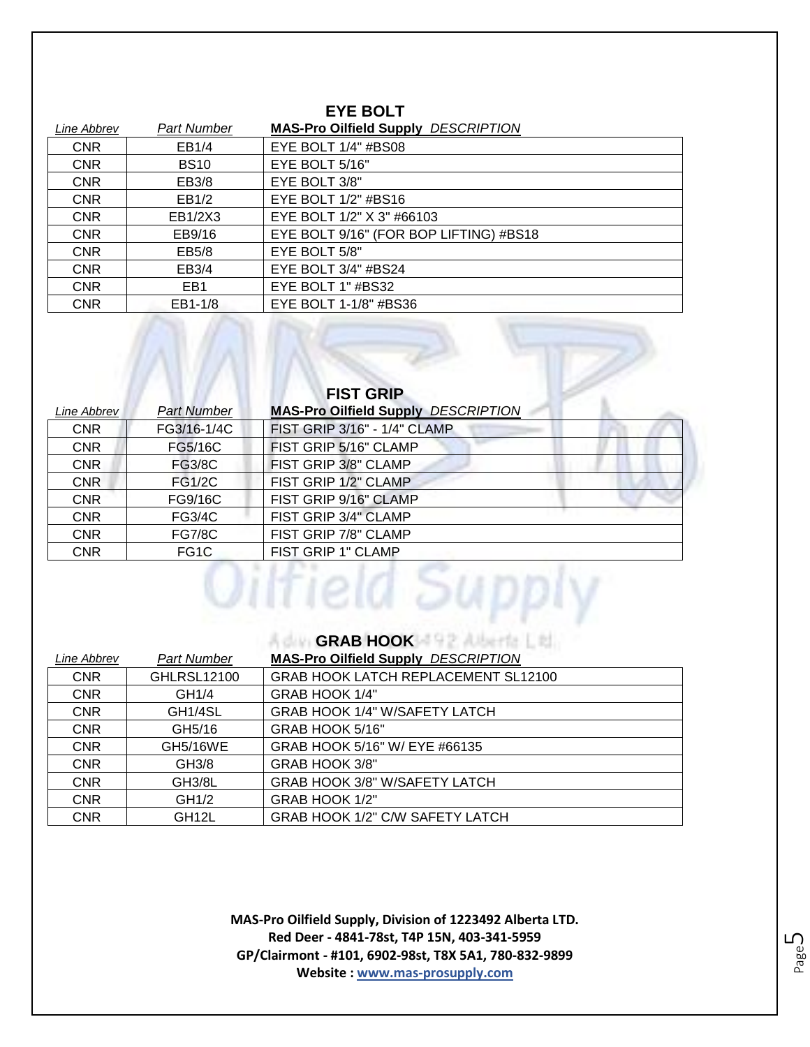#### **EYE BOLT**

| Line Abbrev | Part Number     | <b>MAS-Pro Oilfield Supply DESCRIPTION</b> |
|-------------|-----------------|--------------------------------------------|
| <b>CNR</b>  | EB1/4           | EYE BOLT 1/4" #BS08                        |
| <b>CNR</b>  | <b>BS10</b>     | EYE BOLT 5/16"                             |
| <b>CNR</b>  | EB3/8           | EYE BOLT 3/8"                              |
| <b>CNR</b>  | EB1/2           | EYE BOLT $1/2$ " #BS16                     |
| <b>CNR</b>  | EB1/2X3         | EYE BOLT 1/2" X 3" #66103                  |
| <b>CNR</b>  | EB9/16          | EYE BOLT 9/16" (FOR BOP LIFTING) #BS18     |
| <b>CNR</b>  | EB5/8           | EYE BOLT 5/8"                              |
| <b>CNR</b>  | EB3/4           | EYE BOLT 3/4" #BS24                        |
| <b>CNR</b>  | EB <sub>1</sub> | EYE BOLT 1" #BS32                          |
| <b>CNR</b>  | EB1-1/8         | EYE BOLT 1-1/8" #BS36                      |

AM

| <b>FIST GRIP</b> |                    |                                            |
|------------------|--------------------|--------------------------------------------|
| Line Abbrev      | <b>Part Number</b> | <b>MAS-Pro Oilfield Supply DESCRIPTION</b> |
| <b>CNR</b>       | FG3/16-1/4C        | FIST GRIP 3/16" - 1/4" CLAMP               |
| <b>CNR</b>       | FG5/16C            | FIST GRIP 5/16" CLAMP                      |
| <b>CNR</b>       | <b>FG3/8C</b>      | FIST GRIP 3/8" CLAMP                       |
| <b>CNR</b>       | <b>FG1/2C</b>      | FIST GRIP 1/2" CLAMP                       |
| <b>CNR</b>       | FG9/16C            | FIST GRIP 9/16" CLAMP                      |
| <b>CNR</b>       | <b>FG3/4C</b>      | FIST GRIP 3/4" CLAMP                       |
| <b>CNR</b>       | <b>FG7/8C</b>      | FIST GRIP 7/8" CLAMP                       |
| <b>CNR</b>       | FG <sub>1</sub> C  | FIST GRIP 1" CLAMP                         |

#### **GRAB HOOK**

| Line Abbrev | <b>Part Number</b>   | <b>MAS-Pro Oilfield Supply DESCRIPTION</b> |
|-------------|----------------------|--------------------------------------------|
| <b>CNR</b>  | GHLRSL12100          | GRAB HOOK LATCH REPLACEMENT SL12100        |
| <b>CNR</b>  | GH1/4                | GRAB HOOK 1/4"                             |
| <b>CNR</b>  | GH <sub>1</sub> /4SL | <b>GRAB HOOK 1/4" W/SAFETY LATCH</b>       |
| <b>CNR</b>  | GH5/16               | GRAB HOOK 5/16"                            |
| <b>CNR</b>  | <b>GH5/16WE</b>      | GRAB HOOK 5/16" W/ EYE #66135              |
| <b>CNR</b>  | GH3/8                | GRAB HOOK 3/8"                             |
| <b>CNR</b>  | GH3/8L               | GRAB HOOK 3/8" W/SAFETY LATCH              |
| <b>CNR</b>  | GH1/2                | GRAB HOOK 1/2"                             |
| <b>CNR</b>  | GH <sub>12</sub> L   | GRAB HOOK 1/2" C/W SAFETY LATCH            |

**MAS-Pro Oilfield Supply, Division of 1223492 Alberta LTD. Red Deer - 4841-78st, T4P 15N, 403-341-5959 GP/Clairmont - #101, 6902-98st, T8X 5A1, 780-832-9899 Website : www.mas-prosupply.com**

Page ഥ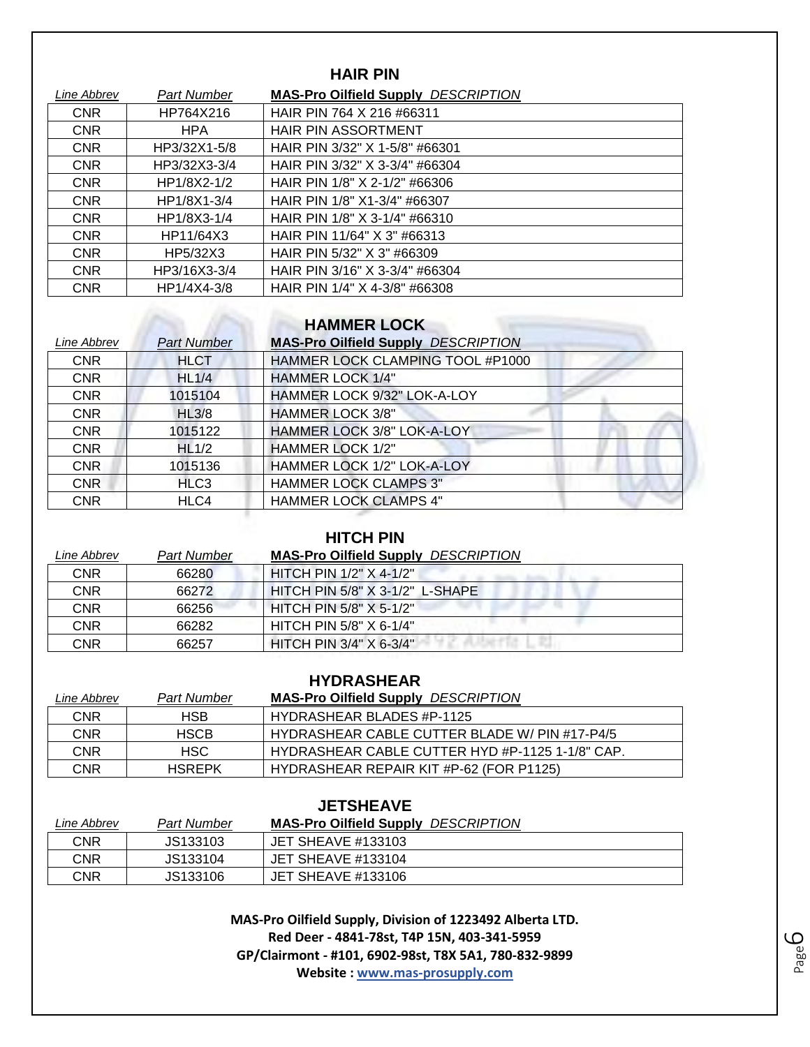| <b>HAIR PIN</b> |                    |                                            |
|-----------------|--------------------|--------------------------------------------|
| Line Abbrev     | <b>Part Number</b> | <b>MAS-Pro Oilfield Supply DESCRIPTION</b> |
| <b>CNR</b>      | HP764X216          | HAIR PIN 764 X 216 #66311                  |
| <b>CNR</b>      | <b>HPA</b>         | <b>HAIR PIN ASSORTMENT</b>                 |
| <b>CNR</b>      | HP3/32X1-5/8       | HAIR PIN 3/32" X 1-5/8" #66301             |
| <b>CNR</b>      | HP3/32X3-3/4       | HAIR PIN 3/32" X 3-3/4" #66304             |
| <b>CNR</b>      | HP1/8X2-1/2        | HAIR PIN 1/8" X 2-1/2" #66306              |
| <b>CNR</b>      | HP1/8X1-3/4        | HAIR PIN 1/8" X1-3/4" #66307               |
| <b>CNR</b>      | HP1/8X3-1/4        | HAIR PIN 1/8" X 3-1/4" #66310              |
| <b>CNR</b>      | HP11/64X3          | HAIR PIN 11/64" X 3" #66313                |
| <b>CNR</b>      | HP5/32X3           | HAIR PIN 5/32" X 3" #66309                 |
| <b>CNR</b>      | HP3/16X3-3/4       | HAIR PIN 3/16" X 3-3/4" #66304             |
| <b>CNR</b>      | HP1/4X4-3/8        | HAIR PIN 1/4" X 4-3/8" #66308              |

## **HAMMER LOCK**

| Line Abbrev | <b>Part Number</b> | <b>MAS-Pro Oilfield Supply DESCRIPTION</b> |
|-------------|--------------------|--------------------------------------------|
| <b>CNR</b>  | <b>HLCT</b>        | HAMMER LOCK CLAMPING TOOL #P1000           |
| <b>CNR</b>  | HL1/4              | <b>HAMMER LOCK 1/4"</b>                    |
| <b>CNR</b>  | 1015104            | HAMMER LOCK 9/32" LOK-A-LOY                |
| <b>CNR</b>  | HL3/8              | <b>HAMMER LOCK 3/8"</b>                    |
| <b>CNR</b>  | 1015122            | HAMMER LOCK 3/8" LOK-A-LOY                 |
| <b>CNR</b>  | HL1/2              | <b>HAMMER LOCK 1/2"</b>                    |
| <b>CNR</b>  | 1015136            | HAMMER LOCK 1/2" LOK-A-LOY                 |
| <b>CNR</b>  | HLC <sub>3</sub>   | <b>HAMMER LOCK CLAMPS 3"</b>               |
| <b>CNR</b>  | HLC4               | <b>HAMMER LOCK CLAMPS 4"</b>               |
|             |                    |                                            |

#### **HITCH PIN**

| Line Abbrev | Part Number | <b>MAS-Pro Oilfield Supply DESCRIPTION</b> |
|-------------|-------------|--------------------------------------------|
| CNR         | 66280       | HITCH PIN 1/2" X 4-1/2"                    |
| CNR         | 66272       | HITCH PIN 5/8" X 3-1/2" L-SHAPE            |
| CNR         | 66256       | HITCH PIN 5/8" X 5-1/2"                    |
| <b>CNR</b>  | 66282       | HITCH PIN 5/8" X 6-1/4"                    |
| CNR         | 66257       | HITCH PIN 3/4" X 6-3/4"                    |

| <b>HYDRASHEAR</b> |               |                                                 |
|-------------------|---------------|-------------------------------------------------|
| Line Abbrev       | Part Number   | <b>MAS-Pro Oilfield Supply DESCRIPTION</b>      |
| <b>CNR</b>        | HSB.          | HYDRASHEAR BLADES #P-1125                       |
| <b>CNR</b>        | <b>HSCB</b>   | HYDRASHEAR CABLE CUTTER BLADE W/ PIN #17-P4/5   |
| <b>CNR</b>        | HSC.          | HYDRASHEAR CABLE CUTTER HYD #P-1125 1-1/8" CAP. |
| <b>CNR</b>        | <b>HSREPK</b> | HYDRASHEAR REPAIR KIT #P-62 (FOR P1125)         |

#### **JETSHEAVE**

| Line Abbrev | Part Number | <b>MAS-Pro Oilfield Supply DESCRIPTION</b> |
|-------------|-------------|--------------------------------------------|
| CNR         | JS133103    | JET SHEAVE #133103                         |
| CNR         | JS133104    | <b>JET SHEAVE #133104</b>                  |
| CNR         | JS133106    | <b>JET SHEAVE #133106</b>                  |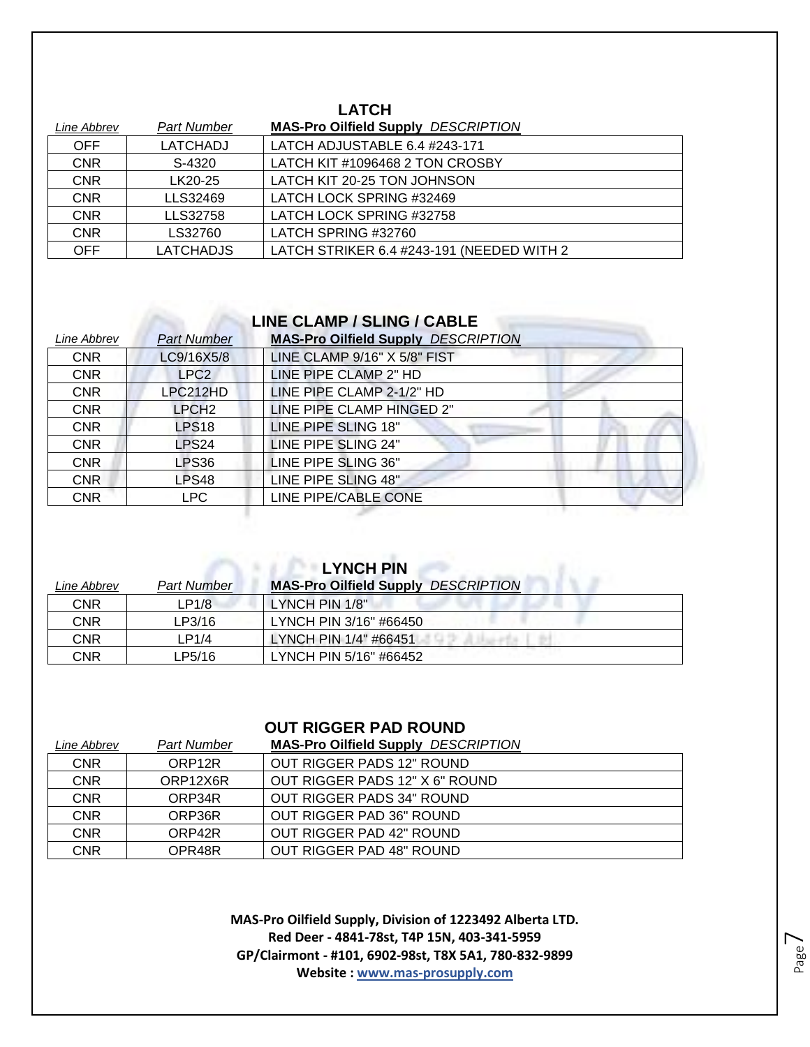#### **LATCH**

| Line Abbrev | <b>Part Number</b> | <b>MAS-Pro Oilfield Supply DESCRIPTION</b> |
|-------------|--------------------|--------------------------------------------|
| <b>OFF</b>  | LATCHADJ           | LATCH ADJUSTABLE 6.4 #243-171              |
| <b>CNR</b>  | S-4320             | LATCH KIT #1096468 2 TON CROSBY            |
| <b>CNR</b>  | LK20-25            | LATCH KIT 20-25 TON JOHNSON                |
| <b>CNR</b>  | LLS32469           | LATCH LOCK SPRING #32469                   |
| <b>CNR</b>  | LLS32758           | LATCH LOCK SPRING #32758                   |
| <b>CNR</b>  | LS32760            | LATCH SPRING #32760                        |
| OFF         | <b>LATCHADJS</b>   | LATCH STRIKER 6.4 #243-191 (NEEDED WITH 2  |

#### **LINE CLAMP / SLING / CABLE**

| Line Abbrev | <b>Part Number</b> | <b>MAS-Pro Oilfield Supply DESCRIPTION</b> |
|-------------|--------------------|--------------------------------------------|
| <b>CNR</b>  | LC9/16X5/8         | LINE CLAMP 9/16" X 5/8" FIST               |
| <b>CNR</b>  | LPC <sub>2</sub>   | LINE PIPE CLAMP 2" HD                      |
| <b>CNR</b>  | LPC212HD           | LINE PIPE CLAMP 2-1/2" HD                  |
| <b>CNR</b>  | LPCH <sub>2</sub>  | LINE PIPE CLAMP HINGED 2"                  |
| <b>CNR</b>  | LPS18              | LINE PIPE SLING 18"                        |
| <b>CNR</b>  | LPS24              | LINE PIPE SLING 24"                        |
| <b>CNR</b>  | LPS36              | LINE PIPE SLING 36"                        |
| <b>CNR</b>  | LPS48              | LINE PIPE SLING 48"                        |
| <b>CNR</b>  | LPC.               | LINE PIPE/CABLE CONE                       |

## **LYNCH PIN**

| Line Abbrev | <b>Part Number</b> | <b>MAS-Pro Oilfield Supply DESCRIPTION</b> |
|-------------|--------------------|--------------------------------------------|
| CNR         | LP1/8              | LYNCH PIN 1/8"                             |
| CNR         | LP3/16             | LYNCH PIN 3/16" #66450                     |
| CNR         | LP1/4              | LYNCH PIN 1/4" #66451                      |
| CNR         | LP5/16             | LYNCH PIN 5/16" #66452                     |

#### **OUT RIGGER PAD ROUND**

| Line Abbrev | Part Number        | <b>MAS-Pro Oilfield Supply DESCRIPTION</b> |
|-------------|--------------------|--------------------------------------------|
| <b>CNR</b>  | ORP <sub>12R</sub> | OUT RIGGER PADS 12" ROUND                  |
| <b>CNR</b>  | ORP12X6R           | OUT RIGGER PADS 12" X 6" ROUND             |
| <b>CNR</b>  | ORP34R             | OUT RIGGER PADS 34" ROUND                  |
| <b>CNR</b>  | ORP36R             | OUT RIGGER PAD 36" ROUND                   |
| <b>CNR</b>  | ORP42R             | OUT RIGGER PAD 42" ROUND                   |
| <b>CNR</b>  | OPR48R             | OUT RIGGER PAD 48" ROUND                   |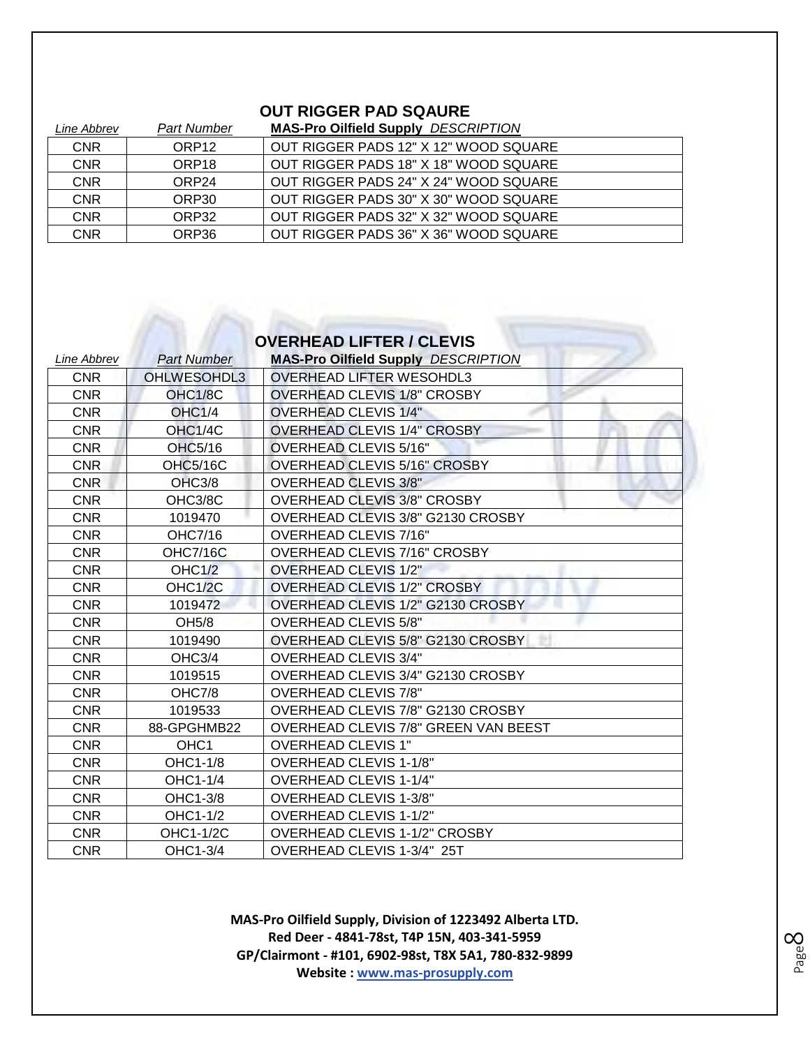#### **OUT RIGGER PAD SQAURE**

| Line Abbrev | Part Number       | <b>MAS-Pro Oilfield Supply DESCRIPTION</b> |
|-------------|-------------------|--------------------------------------------|
| <b>CNR</b>  | ORP <sub>12</sub> | OUT RIGGER PADS 12" X 12" WOOD SQUARE      |
| <b>CNR</b>  | ORP <sub>18</sub> | OUT RIGGER PADS 18" X 18" WOOD SQUARE      |
| <b>CNR</b>  | ORP <sub>24</sub> | OUT RIGGER PADS 24" X 24" WOOD SQUARE      |
| <b>CNR</b>  | ORP30             | OUT RIGGER PADS 30" X 30" WOOD SQUARE      |
| <b>CNR</b>  | ORP32             | OUT RIGGER PADS 32" X 32" WOOD SQUARE      |
| <b>CNR</b>  | ORP36             | OUT RIGGER PADS 36" X 36" WOOD SQUARE      |

## **OVERHEAD LIFTER / CLEVIS**

| Line Abbrev | <b>Part Number</b> | <b>MAS-Pro Oilfield Supply DESCRIPTION</b> |
|-------------|--------------------|--------------------------------------------|
| <b>CNR</b>  | OHLWESOHDL3        | <b>OVERHEAD LIFTER WESOHDL3</b>            |
| <b>CNR</b>  | OHC1/8C            | <b>OVERHEAD CLEVIS 1/8" CROSBY</b>         |
| <b>CNR</b>  | OHC1/4             | <b>OVERHEAD CLEVIS 1/4"</b>                |
| <b>CNR</b>  | OHC1/4C            | <b>OVERHEAD CLEVIS 1/4" CROSBY</b>         |
| <b>CNR</b>  | OHC5/16            | <b>OVERHEAD CLEVIS 5/16"</b>               |
| <b>CNR</b>  | <b>OHC5/16C</b>    | <b>OVERHEAD CLEVIS 5/16" CROSBY</b>        |
| <b>CNR</b>  | OHC3/8             | <b>OVERHEAD CLEVIS 3/8"</b>                |
| <b>CNR</b>  | OHC3/8C            | <b>OVERHEAD CLEVIS 3/8" CROSBY</b>         |
| <b>CNR</b>  | 1019470            | OVERHEAD CLEVIS 3/8" G2130 CROSBY          |
| <b>CNR</b>  | OHC7/16            | OVERHEAD CLEVIS 7/16"                      |
| <b>CNR</b>  | <b>OHC7/16C</b>    | <b>OVERHEAD CLEVIS 7/16" CROSBY</b>        |
| <b>CNR</b>  | <b>OHC1/2</b>      | <b>OVERHEAD CLEVIS 1/2"</b>                |
| <b>CNR</b>  | OHC1/2C            | <b>OVERHEAD CLEVIS 1/2" CROSBY</b>         |
| <b>CNR</b>  | 1019472            | OVERHEAD CLEVIS 1/2" G2130 CROSBY          |
| <b>CNR</b>  | OH <sub>5</sub> /8 | <b>OVERHEAD CLEVIS 5/8"</b>                |
| <b>CNR</b>  | 1019490            | OVERHEAD CLEVIS 5/8" G2130 CROSBY          |
| <b>CNR</b>  | OHC3/4             | <b>OVERHEAD CLEVIS 3/4"</b>                |
| <b>CNR</b>  | 1019515            | OVERHEAD CLEVIS 3/4" G2130 CROSBY          |
| <b>CNR</b>  | OHC7/8             | <b>OVERHEAD CLEVIS 7/8"</b>                |
| <b>CNR</b>  | 1019533            | OVERHEAD CLEVIS 7/8" G2130 CROSBY          |
| <b>CNR</b>  | 88-GPGHMB22        | OVERHEAD CLEVIS 7/8" GREEN VAN BEEST       |
| <b>CNR</b>  | OHC <sub>1</sub>   | <b>OVERHEAD CLEVIS 1"</b>                  |
| <b>CNR</b>  | OHC1-1/8           | <b>OVERHEAD CLEVIS 1-1/8"</b>              |
| <b>CNR</b>  | OHC1-1/4           | <b>OVERHEAD CLEVIS 1-1/4"</b>              |
| <b>CNR</b>  | OHC1-3/8           | <b>OVERHEAD CLEVIS 1-3/8"</b>              |
| <b>CNR</b>  | OHC1-1/2           | <b>OVERHEAD CLEVIS 1-1/2"</b>              |
| <b>CNR</b>  | OHC1-1/2C          | <b>OVERHEAD CLEVIS 1-1/2" CROSBY</b>       |
| <b>CNR</b>  | OHC1-3/4           | OVERHEAD CLEVIS 1-3/4" 25T                 |

Page  $\infty$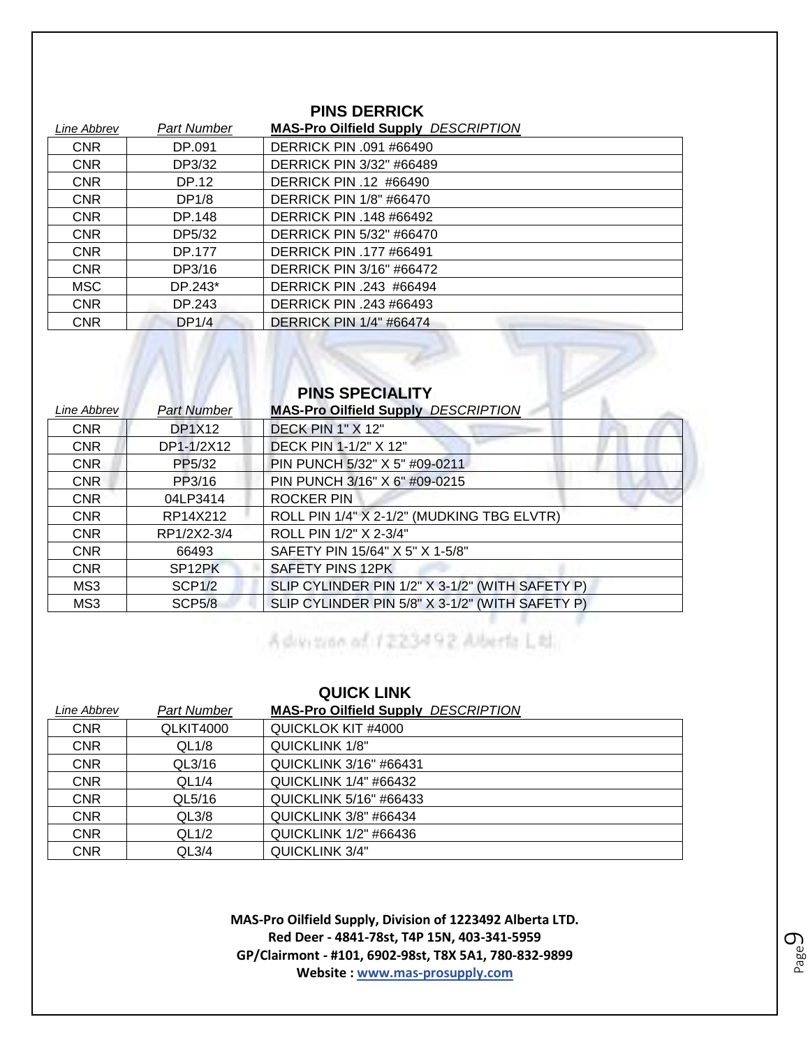#### **PINS DERRICK**

| <b>Part Number</b> | <b>MAS-Pro Oilfield Supply DESCRIPTION</b> |
|--------------------|--------------------------------------------|
| DP.091             | DERRICK PIN .091 #66490                    |
| DP3/32             | DERRICK PIN 3/32" #66489                   |
| DP.12              | DERRICK PIN .12 #66490                     |
| DP1/8              | <b>DERRICK PIN 1/8" #66470</b>             |
| DP.148             | <b>DERRICK PIN .148 #66492</b>             |
| DP5/32             | <b>DERRICK PIN 5/32" #66470</b>            |
| DP.177             | <b>DERRICK PIN .177 #66491</b>             |
| DP3/16             | <b>DERRICK PIN 3/16" #66472</b>            |
| DP.243*            | DERRICK PIN .243 #66494                    |
| DP.243             | DERRICK PIN .243 #66493                    |
| DP1/4              | <b>DERRICK PIN 1/4" #66474</b>             |
|                    |                                            |

#### **PINS SPECIALITY**

| Line Abbrev | <b>Part Number</b>  | <b>MAS-Pro Oilfield Supply DESCRIPTION</b>      |
|-------------|---------------------|-------------------------------------------------|
| <b>CNR</b>  | <b>DP1X12</b>       | DECK PIN 1" X 12"                               |
| <b>CNR</b>  | DP1-1/2X12          | DECK PIN 1-1/2" X 12"                           |
| <b>CNR</b>  | PP5/32              | PIN PUNCH 5/32" X 5" #09-0211                   |
| <b>CNR</b>  | PP3/16              | PIN PUNCH 3/16" X 6" #09-0215                   |
| <b>CNR</b>  | 04LP3414            | <b>ROCKER PIN</b>                               |
| <b>CNR</b>  | RP14X212            | ROLL PIN 1/4" X 2-1/2" (MUDKING TBG ELVTR)      |
| <b>CNR</b>  | RP1/2X2-3/4         | ROLL PIN 1/2" X 2-3/4"                          |
| <b>CNR</b>  | 66493               | SAFETY PIN 15/64" X 5" X 1-5/8"                 |
| <b>CNR</b>  | SP <sub>12</sub> PK | SAFETY PINS 12PK                                |
| MS3         | SCP <sub>1</sub> /2 | SLIP CYLINDER PIN 1/2" X 3-1/2" (WITH SAFETY P) |
| MS3         | <b>SCP5/8</b>       | SLIP CYLINDER PIN 5/8" X 3-1/2" (WITH SAFETY P) |

## Monday 3/8 SLIP CYLINDER PIN 5/8 SLIP CYLINDER

| <b>QUICK LINK</b> |             |                                            |
|-------------------|-------------|--------------------------------------------|
| Line Abbrev       | Part Number | <b>MAS-Pro Oilfield Supply DESCRIPTION</b> |
| <b>CNR</b>        | QLKIT4000   | QUICKLOK KIT #4000                         |
| <b>CNR</b>        | QL1/8       | <b>QUICKLINK 1/8"</b>                      |
| <b>CNR</b>        | QL3/16      | <b>QUICKLINK 3/16" #66431</b>              |
| <b>CNR</b>        | QL1/4       | <b>QUICKLINK 1/4" #66432</b>               |
| <b>CNR</b>        | QL5/16      | <b>QUICKLINK 5/16" #66433</b>              |
| <b>CNR</b>        | QL3/8       | <b>QUICKLINK 3/8" #66434</b>               |
| <b>CNR</b>        | QL1/2       | <b>QUICKLINK 1/2" #66436</b>               |
| <b>CNR</b>        | QL3/4       | QUICKLINK 3/4"                             |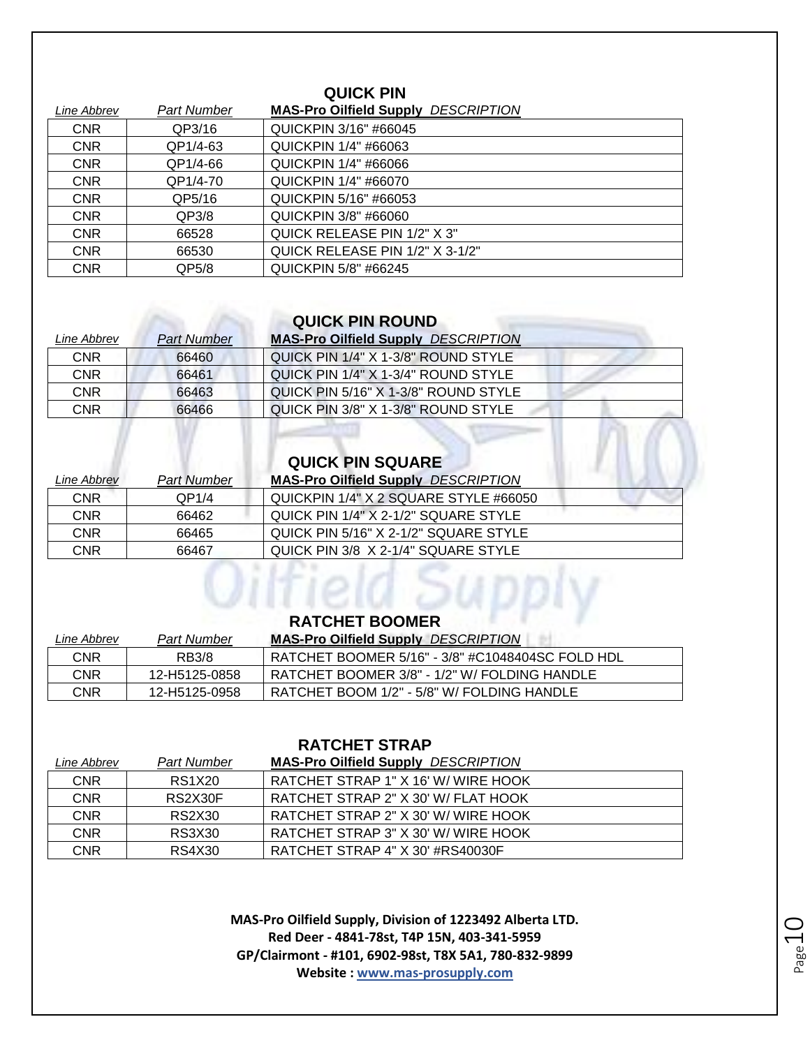#### **QUICK PIN**

| Line Abbrev | Part Number | <b>MAS-Pro Oilfield Supply DESCRIPTION</b> |
|-------------|-------------|--------------------------------------------|
| <b>CNR</b>  | QP3/16      | QUICKPIN 3/16" #66045                      |
| <b>CNR</b>  | QP1/4-63    | QUICKPIN 1/4" #66063                       |
| <b>CNR</b>  | QP1/4-66    | QUICKPIN 1/4" #66066                       |
| <b>CNR</b>  | QP1/4-70    | <b>QUICKPIN 1/4" #66070</b>                |
| <b>CNR</b>  | QP5/16      | QUICKPIN 5/16" #66053                      |
| <b>CNR</b>  | QP3/8       | QUICKPIN 3/8" #66060                       |
| <b>CNR</b>  | 66528       | QUICK RELEASE PIN 1/2" X 3"                |
| <b>CNR</b>  | 66530       | QUICK RELEASE PIN 1/2" X 3-1/2"            |
| <b>CNR</b>  | QP5/8       | <b>QUICKPIN 5/8" #66245</b>                |

#### **QUICK PIN ROUND**

| Line Abbrev | <b>Part Number</b> | <b>MAS-Pro Oilfield Supply DESCRIPTION</b> |
|-------------|--------------------|--------------------------------------------|
| <b>CNR</b>  | 66460              | QUICK PIN 1/4" X 1-3/8" ROUND STYLE        |
| CNR         | 66461              | QUICK PIN 1/4" X 1-3/4" ROUND STYLE        |
| CNR         | 66463              | QUICK PIN 5/16" X 1-3/8" ROUND STYLE       |
| CNR         | 66466              | QUICK PIN 3/8" X 1-3/8" ROUND STYLE        |

|                    |                    | <b>QUICK PIN SQUARE</b>                    |
|--------------------|--------------------|--------------------------------------------|
| <i>Line Abbrev</i> | <b>Part Number</b> | <b>MAS-Pro Oilfield Supply DESCRIPTION</b> |
| <b>CNR</b>         | QP1/4              | QUICKPIN 1/4" X 2 SQUARE STYLE #66050      |
| <b>CNR</b>         | 66462              | QUICK PIN 1/4" X 2-1/2" SQUARE STYLE       |
| <b>CNR</b>         | 66465              | QUICK PIN 5/16" X 2-1/2" SQUARE STYLE      |
| <b>CNR</b>         | 66467              | QUICK PIN 3/8 X 2-1/4" SQUARE STYLE        |

# *<u>Oilfield Supply</u>*

| Line Abbrev | <b>Part Number</b> | <b>MAS-Pro Oilfield Supply</b><br><b>DESCRIPTION</b> |
|-------------|--------------------|------------------------------------------------------|
| CNR         | RB3/8              | RATCHET BOOMER 5/16" - 3/8" #C1048404SC FOLD HDL     |
| CNR         | 12-H5125-0858      | RATCHET BOOMER 3/8" - 1/2" W/ FOLDING HANDLE         |
| CNR         | 12-H5125-0958      | RATCHET BOOM 1/2" - 5/8" W/ FOLDING HANDLE           |

#### **RATCHET STRAP**

| Line Abbrev | Part Number   | <b>MAS-Pro Oilfield Supply DESCRIPTION</b> |
|-------------|---------------|--------------------------------------------|
| <b>CNR</b>  | <b>RS1X20</b> | RATCHET STRAP 1" X 16' W/ WIRE HOOK        |
| <b>CNR</b>  | RS2X30F       | RATCHET STRAP 2" X 30' W/ FLAT HOOK        |
| <b>CNR</b>  | RS2X30        | RATCHET STRAP 2" X 30' W/ WIRE HOOK        |
| <b>CNR</b>  | RS3X30        | RATCHET STRAP 3" X 30' W/ WIRE HOOK        |
| CNR         | RS4X30        | RATCHET STRAP 4" X 30' #RS40030F           |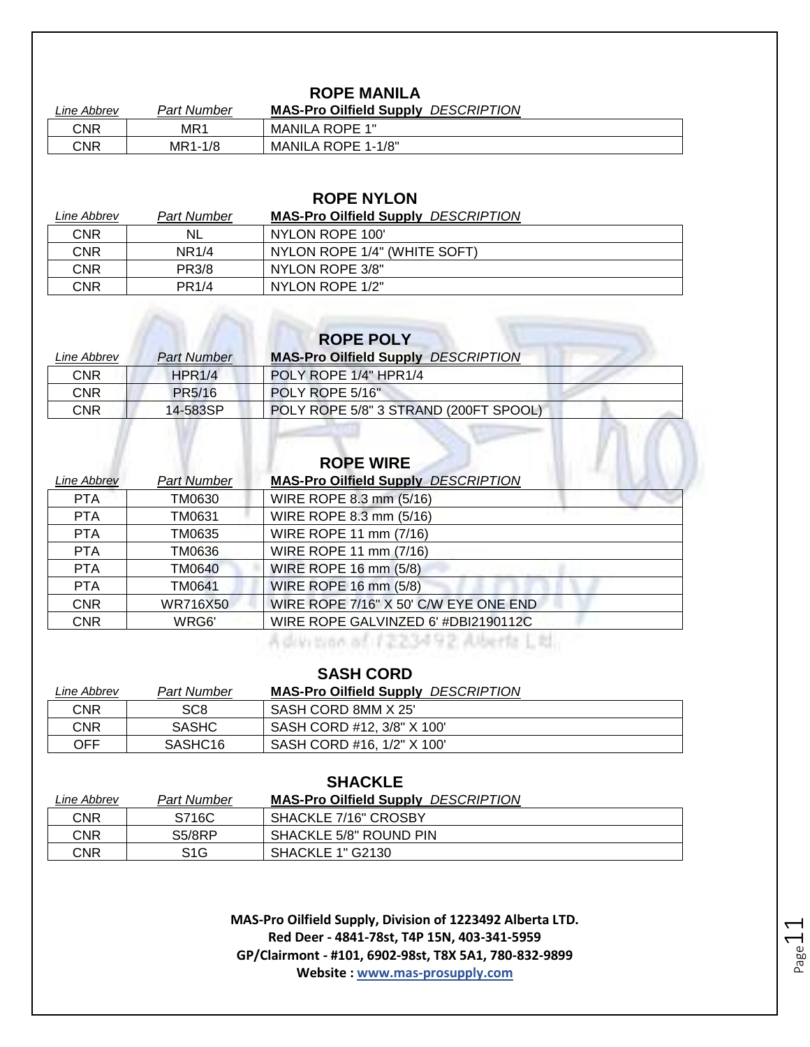#### **ROPE MANILA**

| Line Abbrev | Part Number     | <b>DESCRIPTION</b><br><b>MAS-Pro Oilfield Supply</b> |
|-------------|-----------------|------------------------------------------------------|
| CNR         | MR <sup>1</sup> | <b>MANILA ROPE 1"</b>                                |
| CNR         | MR1-1/8         | MANILA ROPE 1-1/8"                                   |

#### **ROPE NYLON**

| Line Abbrev | <b>Part Number</b> | <b>MAS-Pro Oilfield Supply DESCRIPTION</b> |
|-------------|--------------------|--------------------------------------------|
| <b>CNR</b>  | NL.                | NYLON ROPE 100'                            |
| CNR         | NR <sub>1/4</sub>  | NYLON ROPE 1/4" (WHITE SOFT)               |
| CNR         | <b>PR3/8</b>       | NYLON ROPE 3/8"                            |
| CNR         | <b>PR1/4</b>       | NYLON ROPE 1/2"                            |

| <b>ROPE POLY</b> |                    |                                            |
|------------------|--------------------|--------------------------------------------|
| Line Abbrev      | <b>Part Number</b> | <b>MAS-Pro Oilfield Supply DESCRIPTION</b> |
| <b>CNR</b>       | HPR1/4             | POLY ROPE 1/4" HPR1/4                      |
| <b>CNR</b>       | PR5/16             | POLY ROPE 5/16"                            |
| <b>CNR</b>       | 14-583SP           | POLY ROPE 5/8" 3 STRAND (200FT SPOOL)      |
|                  |                    |                                            |
|                  |                    |                                            |

| Line Abbrev | <b>Part Number</b> | <b>ROPE WIRE</b><br><b>MAS-Pro Oilfield Supply DESCRIPTION</b> |
|-------------|--------------------|----------------------------------------------------------------|
| <b>PTA</b>  | TM0630             | WIRE ROPE 8.3 mm (5/16)                                        |
| <b>PTA</b>  | TM0631             | WIRE ROPE 8.3 mm (5/16)                                        |
| <b>PTA</b>  | TM0635             | WIRE ROPE 11 mm (7/16)                                         |
| <b>PTA</b>  | TM0636             | WIRE ROPE 11 mm (7/16)                                         |
| <b>PTA</b>  | TM0640             | WIRE ROPE 16 mm (5/8)                                          |
| <b>PTA</b>  | TM0641             | WIRE ROPE 16 mm (5/8)                                          |
| <b>CNR</b>  | <b>WR716X50</b>    | WIRE ROPE 7/16" X 50' C/W EYE ONE END                          |
| <b>CNR</b>  | WRG6'              | WIRE ROPE GALVINZED 6' #DBI2190112C                            |

Advisor of 1223492 Aberfa Ltd.

| <b>SASH CORD</b> |                     |                                            |
|------------------|---------------------|--------------------------------------------|
| Line Abbrev      | Part Number         | <b>MAS-Pro Oilfield Supply DESCRIPTION</b> |
| <b>CNR</b>       | SC <sub>8</sub>     | SASH CORD 8MM X 25'                        |
| <b>CNR</b>       | <b>SASHC</b>        | SASH CORD #12, 3/8" X 100"                 |
| OFF              | SASHC <sub>16</sub> | SASH CORD #16, 1/2" X 100'                 |

#### **SHACKLE**

| Line Abbrev | Part Number                     | <b>MAS-Pro Oilfield Supply DESCRIPTION</b> |
|-------------|---------------------------------|--------------------------------------------|
| CNR         | S716C                           | SHACKLE 7/16" CROSBY                       |
| CNR         | S <sub>5</sub> /8 <sub>RP</sub> | SHACKLE 5/8" ROUND PIN                     |
| CNR         | S <sub>1</sub> G                | SHACKLE 1" G2130                           |

**MAS-Pro Oilfield Supply, Division of 1223492 Alberta LTD. Red Deer - 4841-78st, T4P 15N, 403-341-5959 GP/Clairmont - #101, 6902-98st, T8X 5A1, 780-832-9899 Website : www.mas-prosupply.com**

Page11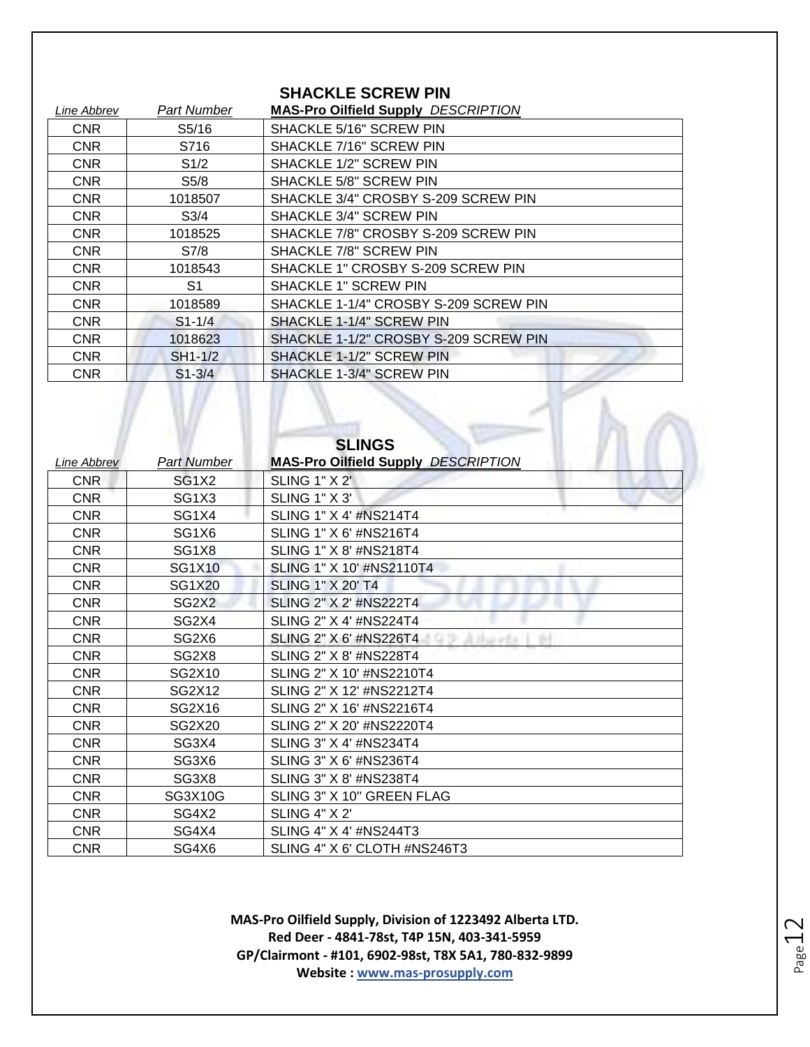#### **SHACKLE SCREW PIN**

| Line Abbrev | <b>Part Number</b> | <b>MAS-Pro Oilfield Supply DESCRIPTION</b> |
|-------------|--------------------|--------------------------------------------|
| <b>CNR</b>  | S5/16              | SHACKLE 5/16" SCREW PIN                    |
| <b>CNR</b>  | S716               | SHACKLE 7/16" SCREW PIN                    |
| <b>CNR</b>  | S1/2               | SHACKLE 1/2" SCREW PIN                     |
| <b>CNR</b>  | S5/8               | SHACKLE 5/8" SCREW PIN                     |
| <b>CNR</b>  | 1018507            | SHACKLE 3/4" CROSBY S-209 SCREW PIN        |
| <b>CNR</b>  | S <sub>3/4</sub>   | SHACKLE 3/4" SCREW PIN                     |
| <b>CNR</b>  | 1018525            | SHACKLE 7/8" CROSBY S-209 SCREW PIN        |
| <b>CNR</b>  | S7/8               | SHACKLE 7/8" SCREW PIN                     |
| <b>CNR</b>  | 1018543            | SHACKLE 1" CROSBY S-209 SCREW PIN          |
| <b>CNR</b>  | S1                 | <b>SHACKLE 1" SCREW PIN</b>                |
| <b>CNR</b>  | 1018589            | SHACKLE 1-1/4" CROSBY S-209 SCREW PIN      |
| <b>CNR</b>  | $S1 - 1/4$         | SHACKLE 1-1/4" SCREW PIN                   |
| <b>CNR</b>  | 1018623            | SHACKLE 1-1/2" CROSBY S-209 SCREW PIN      |
| <b>CNR</b>  | SH1-1/2            | SHACKLE 1-1/2" SCREW PIN                   |
| <b>CNR</b>  | $S1 - 3/4$         | SHACKLE 1-3/4" SCREW PIN                   |

|             |                                | <b>SLINGS</b>                              |
|-------------|--------------------------------|--------------------------------------------|
| Line Abbrev | <b>Part Number</b>             | <b>MAS-Pro Oilfield Supply DESCRIPTION</b> |
| <b>CNR</b>  | SG <sub>1</sub> X <sub>2</sub> | <b>SLING 1" X 2"</b>                       |
| <b>CNR</b>  | SG <sub>1</sub> X <sub>3</sub> | <b>SLING 1" X 3'</b>                       |
| <b>CNR</b>  | SG <sub>1</sub> X <sub>4</sub> | SLING 1" X 4' #NS214T4                     |
| <b>CNR</b>  | SG1X6                          | SLING 1" X 6' #NS216T4                     |
| <b>CNR</b>  | SG <sub>1</sub> X <sub>8</sub> | SLING 1" X 8' #NS218T4                     |
| <b>CNR</b>  | SG1X10                         | SLING 1" X 10' #NS2110T4                   |
| <b>CNR</b>  | <b>SG1X20</b>                  | <b>SLING 1" X 20' T4</b>                   |
| <b>CNR</b>  | SG <sub>2</sub> X <sub>2</sub> | SLING 2" X 2' #NS222T4                     |
| <b>CNR</b>  | SG <sub>2</sub> X <sub>4</sub> | SLING 2" X 4' #NS224T4                     |
| <b>CNR</b>  | SG <sub>2</sub> X <sub>6</sub> | SLING 2" X 6' #NS226T4                     |
| <b>CNR</b>  | SG <sub>2</sub> X <sub>8</sub> | SLING 2" X 8' #NS228T4                     |
| <b>CNR</b>  | SG2X10                         | SLING 2" X 10' #NS2210T4                   |
| <b>CNR</b>  | SG2X12                         | SLING 2" X 12' #NS2212T4                   |
| <b>CNR</b>  | SG2X16                         | SLING 2" X 16' #NS2216T4                   |
| <b>CNR</b>  | SG2X20                         | SLING 2" X 20' #NS2220T4                   |
| <b>CNR</b>  | SG3X4                          | SLING 3" X 4' #NS234T4                     |
| <b>CNR</b>  | SG3X6                          | SLING 3" X 6' #NS236T4                     |
| <b>CNR</b>  | SG3X8                          | SLING 3" X 8' #NS238T4                     |
| <b>CNR</b>  | <b>SG3X10G</b>                 | SLING 3" X 10" GREEN FLAG                  |
| <b>CNR</b>  | SG4X2                          | <b>SLING 4" X 2'</b>                       |
| <b>CNR</b>  | SG4X4                          | SLING 4" X 4' #NS244T3                     |
| <b>CNR</b>  | SG4X6                          | SLING 4" X 6' CLOTH #NS246T3               |

Page 12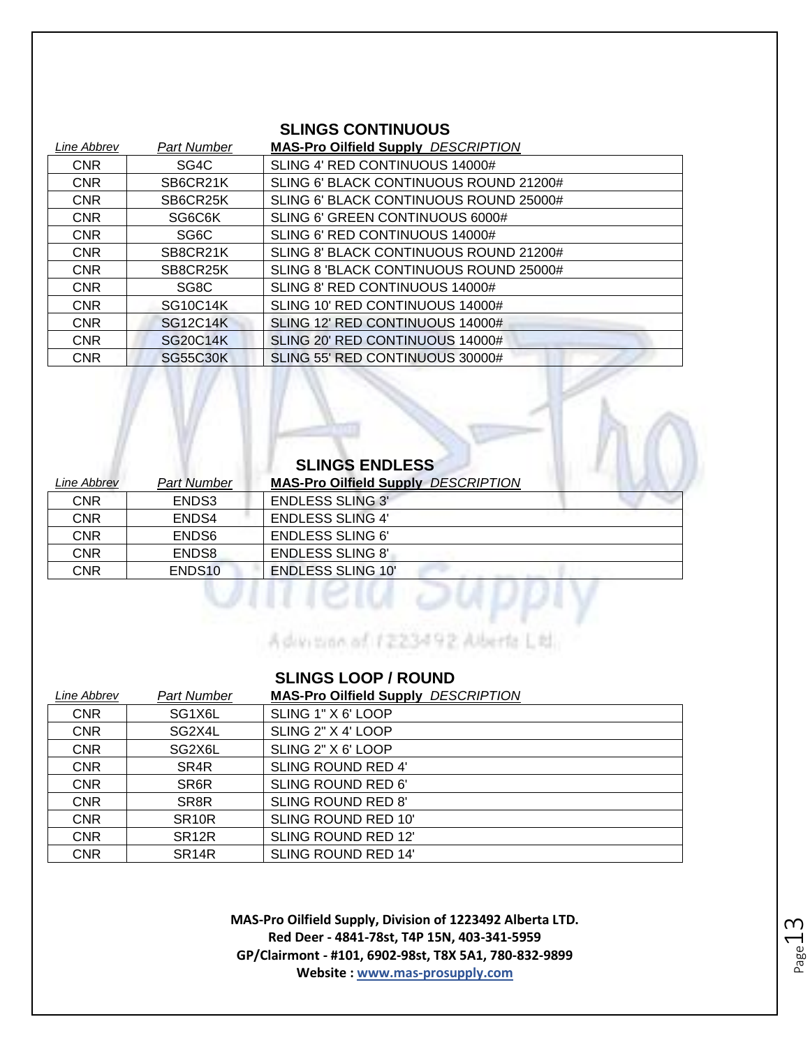#### **SLINGS CONTINUOUS**

| Line Abbrev | <b>Part Number</b> | <b>MAS-Pro Oilfield Supply DESCRIPTION</b> |
|-------------|--------------------|--------------------------------------------|
| <b>CNR</b>  | SG4C               | SLING 4' RED CONTINUOUS 14000#             |
| <b>CNR</b>  | SB6CR21K           | SLING 6' BLACK CONTINUOUS ROUND 21200#     |
| <b>CNR</b>  | SB6CR25K           | SLING 6' BLACK CONTINUOUS ROUND 25000#     |
| <b>CNR</b>  | SG6C6K             | SLING 6' GREEN CONTINUOUS 6000#            |
| <b>CNR</b>  | SG6C               | SLING 6' RED CONTINUOUS 14000#             |
| <b>CNR</b>  | SB8CR21K           | SLING 8' BLACK CONTINUOUS ROUND 21200#     |
| <b>CNR</b>  | SB8CR25K           | SLING 8 'BLACK CONTINUOUS ROUND 25000#     |
| <b>CNR</b>  | SG8C               | SLING 8' RED CONTINUOUS 14000#             |
| <b>CNR</b>  | <b>SG10C14K</b>    | SLING 10' RED CONTINUOUS 14000#            |
| <b>CNR</b>  | <b>SG12C14K</b>    | SLING 12' RED CONTINUOUS 14000#            |
| <b>CNR</b>  | <b>SG20C14K</b>    | SLING 20' RED CONTINUOUS 14000#            |
| <b>CNR</b>  | <b>SG55C30K</b>    | SLING 55' RED CONTINUOUS 30000#            |

#### **SLINGS ENDLESS**

| <i>Line Abbrev</i> | Part Number        | <b>MAS-Pro Oilfield Supply DESCRIPTION</b> |
|--------------------|--------------------|--------------------------------------------|
| <b>CNR</b>         | ENDS3              | <b>ENDLESS SLING 3'</b>                    |
| <b>CNR</b>         | ENDS4              | <b>ENDLESS SLING 4'</b>                    |
| <b>CNR</b>         | ENDS <sub>6</sub>  | <b>ENDLESS SLING 6'</b>                    |
| <b>CNR</b>         | ENDS8              | <b>ENDLESS SLING 8'</b>                    |
| CNR                | ENDS <sub>10</sub> | <b>ENDLESS SLING 10'</b>                   |

Advision of 1223492 Alberta Little

#### **SLINGS LOOP / ROUND**

| Line Abbrev | Part Number        | <b>MAS-Pro Oilfield Supply DESCRIPTION</b> |
|-------------|--------------------|--------------------------------------------|
| <b>CNR</b>  | SG1X6L             | SLING 1" X 6' LOOP                         |
| <b>CNR</b>  | SG2X4L             | SLING 2" X 4' LOOP                         |
| <b>CNR</b>  | SG2X6L             | SLING 2" X 6' LOOP                         |
| <b>CNR</b>  | SR4R               | SLING ROUND RED 4'                         |
| <b>CNR</b>  | SR6R               | SLING ROUND RED 6'                         |
| <b>CNR</b>  | SR <sub>8</sub> R  | <b>SLING ROUND RED 8'</b>                  |
| <b>CNR</b>  | SR <sub>10R</sub>  | SLING ROUND RED 10'                        |
| <b>CNR</b>  | SR <sub>12R</sub>  | SLING ROUND RED 12'                        |
| <b>CNR</b>  | SR <sub>14</sub> R | <b>SLING ROUND RED 14'</b>                 |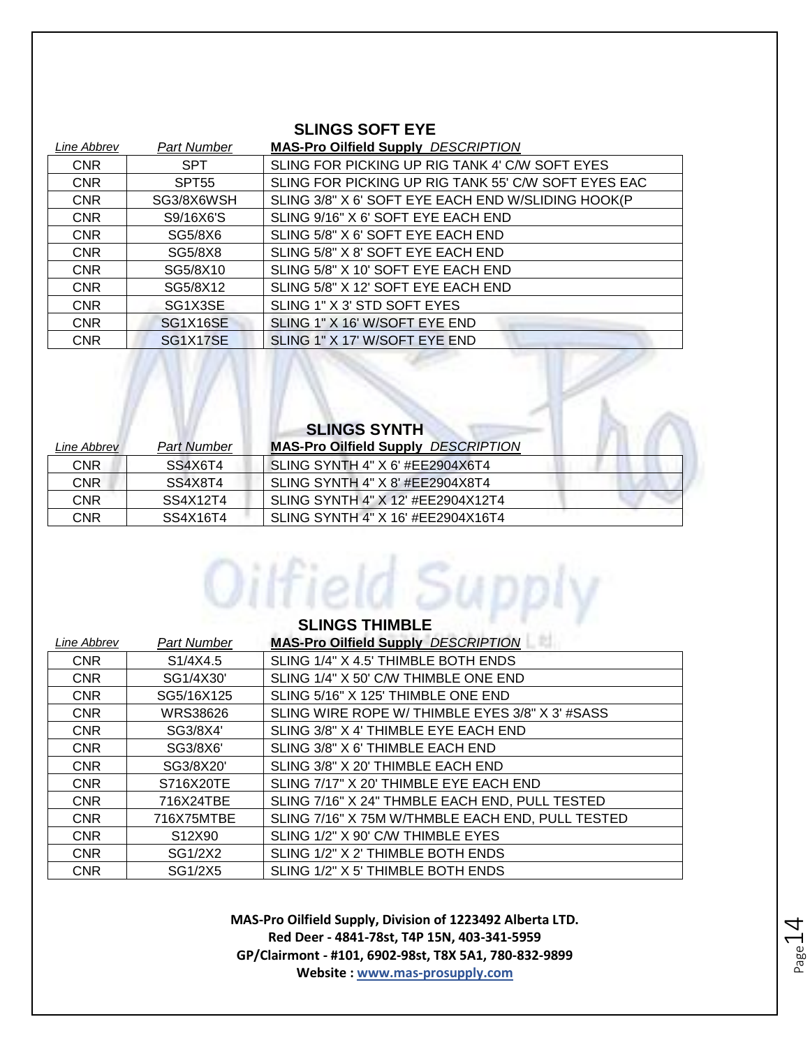#### **SLINGS SOFT EYE**

| Line Abbrev | <b>Part Number</b> | <b>MAS-Pro Oilfield Supply DESCRIPTION</b>          |
|-------------|--------------------|-----------------------------------------------------|
| <b>CNR</b>  | <b>SPT</b>         | SLING FOR PICKING UP RIG TANK 4' C/W SOFT EYES      |
| <b>CNR</b>  | SPT <sub>55</sub>  | SLING FOR PICKING UP RIG TANK 55' C/W SOFT EYES EAC |
| <b>CNR</b>  | SG3/8X6WSH         | SLING 3/8" X 6' SOFT EYE EACH END W/SLIDING HOOK(P  |
| <b>CNR</b>  | S9/16X6'S          | SLING 9/16" X 6' SOFT EYE EACH END                  |
| <b>CNR</b>  | SG5/8X6            | SLING 5/8" X 6' SOFT EYE EACH END                   |
| <b>CNR</b>  | SG5/8X8            | SLING 5/8" X 8' SOFT EYE EACH END                   |
| <b>CNR</b>  | SG5/8X10           | SLING 5/8" X 10' SOFT EYE EACH END                  |
| <b>CNR</b>  | SG5/8X12           | SLING 5/8" X 12' SOFT EYE EACH END                  |
| <b>CNR</b>  | SG1X3SE            | SLING 1" X 3' STD SOFT EYES                         |
| <b>CNR</b>  | SG1X16SE           | SLING 1" X 16' W/SOFT EYE END                       |
| <b>CNR</b>  | SG1X17SE           | SLING 1" X 17' W/SOFT EYE END                       |

| <b>SLINGS SYNTH</b> |                    |                                            |  |
|---------------------|--------------------|--------------------------------------------|--|
| Line Abbrev         | <b>Part Number</b> | <b>MAS-Pro Oilfield Supply DESCRIPTION</b> |  |
| CNR                 | SS4X6T4            | SLING SYNTH 4" X 6' #EE2904X6T4            |  |
| CNR                 | SS4X8T4            | SLING SYNTH 4" X 8' #EE2904X8T4            |  |
| CNR                 | SS4X12T4           | SLING SYNTH 4" X 12' #EE2904X12T4          |  |
| CNR                 | SS4X16T4           | SLING SYNTH 4" X 16' #EE2904X16T4          |  |

Oilfield Supply

IN A II

| <b>SLINGS THIMBLE</b> |                       |                                                  |
|-----------------------|-----------------------|--------------------------------------------------|
| Line Abbrev           | Part Number           | <b>MAS-Pro Oilfield Supply DESCRIPTION</b>       |
| <b>CNR</b>            | S <sub>1</sub> /4X4.5 | SLING 1/4" X 4.5' THIMBLE BOTH ENDS              |
| <b>CNR</b>            | SG1/4X30'             | SLING 1/4" X 50' C/W THIMBLE ONE END             |
| <b>CNR</b>            | SG5/16X125            | SLING 5/16" X 125' THIMBLE ONE END               |
| <b>CNR</b>            | <b>WRS38626</b>       | SLING WIRE ROPE W/ THIMBLE EYES 3/8" X 3' #SASS  |
| <b>CNR</b>            | SG3/8X4'              | SLING 3/8" X 4' THIMBLE EYE EACH END             |
| <b>CNR</b>            | SG3/8X6'              | SLING 3/8" X 6' THIMBLE EACH END                 |
| <b>CNR</b>            | SG3/8X20'             | SLING 3/8" X 20' THIMBLE EACH END                |
| <b>CNR</b>            | S716X20TE             | SLING 7/17" X 20' THIMBLE EYE EACH END           |
| <b>CNR</b>            | 716X24TBE             | SLING 7/16" X 24" THMBLE EACH END, PULL TESTED   |
| <b>CNR</b>            | 716X75MTBE            | SLING 7/16" X 75M W/THMBLE EACH END, PULL TESTED |
| <b>CNR</b>            | S12X90                | SLING 1/2" X 90' C/W THIMBLE EYES                |
| <b>CNR</b>            | SG1/2X2               | SLING 1/2" X 2' THIMBLE BOTH ENDS                |
| <b>CNR</b>            | SG1/2X5               | SLING 1/2" X 5' THIMBLE BOTH ENDS                |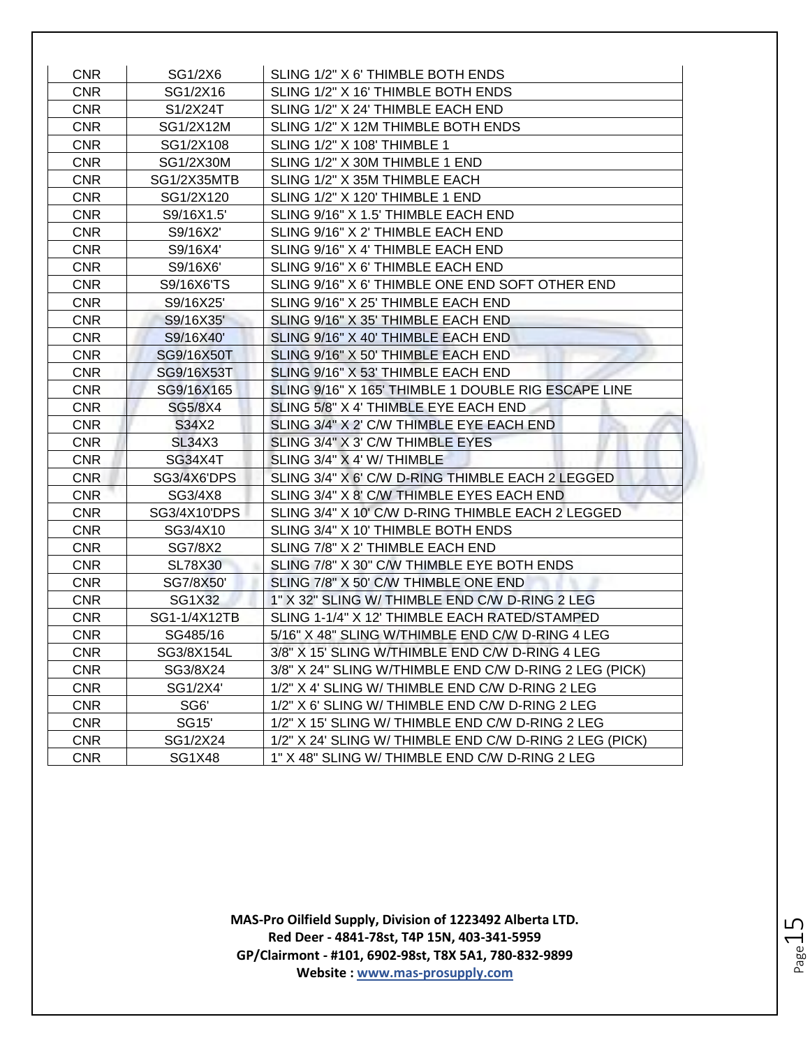| <b>CNR</b> | SG1/2X6       | SLING 1/2" X 6' THIMBLE BOTH ENDS                       |
|------------|---------------|---------------------------------------------------------|
| <b>CNR</b> | SG1/2X16      | SLING 1/2" X 16' THIMBLE BOTH ENDS                      |
| <b>CNR</b> | S1/2X24T      | SLING 1/2" X 24' THIMBLE EACH END                       |
| <b>CNR</b> | SG1/2X12M     | SLING 1/2" X 12M THIMBLE BOTH ENDS                      |
| <b>CNR</b> | SG1/2X108     | <b>SLING 1/2" X 108' THIMBLE 1</b>                      |
| <b>CNR</b> | SG1/2X30M     | SLING 1/2" X 30M THIMBLE 1 END                          |
| <b>CNR</b> | SG1/2X35MTB   | SLING 1/2" X 35M THIMBLE EACH                           |
| <b>CNR</b> | SG1/2X120     | SLING 1/2" X 120' THIMBLE 1 END                         |
| <b>CNR</b> | S9/16X1.5'    | SLING 9/16" X 1.5' THIMBLE EACH END                     |
| <b>CNR</b> | S9/16X2       | SLING 9/16" X 2' THIMBLE EACH END                       |
| <b>CNR</b> | S9/16X4'      | SLING 9/16" X 4' THIMBLE EACH END                       |
| <b>CNR</b> | S9/16X6'      | SLING 9/16" X 6' THIMBLE EACH END                       |
| <b>CNR</b> | S9/16X6'TS    | SLING 9/16" X 6' THIMBLE ONE END SOFT OTHER END         |
| <b>CNR</b> | S9/16X25'     | SLING 9/16" X 25' THIMBLE EACH END                      |
| <b>CNR</b> | S9/16X35'     | SLING 9/16" X 35' THIMBLE EACH END                      |
| <b>CNR</b> | S9/16X40'     | SLING 9/16" X 40' THIMBLE EACH END                      |
| <b>CNR</b> | SG9/16X50T    | SLING 9/16" X 50' THIMBLE EACH END                      |
| <b>CNR</b> | SG9/16X53T    | SLING 9/16" X 53' THIMBLE EACH END                      |
| <b>CNR</b> | SG9/16X165    | SLING 9/16" X 165' THIMBLE 1 DOUBLE RIG ESCAPE LINE     |
| <b>CNR</b> | SG5/8X4       | SLING 5/8" X 4' THIMBLE EYE EACH END                    |
| <b>CNR</b> | S34X2         | SLING 3/4" X 2' C/W THIMBLE EYE EACH END                |
| <b>CNR</b> | <b>SL34X3</b> | SLING 3/4" X 3' C/W THIMBLE EYES                        |
| <b>CNR</b> | SG34X4T       | SLING 3/4" X 4' W/ THIMBLE                              |
| <b>CNR</b> | SG3/4X6'DPS   | SLING 3/4" X 6' C/W D-RING THIMBLE EACH 2 LEGGED        |
| <b>CNR</b> | SG3/4X8       | SLING 3/4" X 8' C/W THIMBLE EYES EACH END               |
| <b>CNR</b> | SG3/4X10'DPS  | SLING 3/4" X 10' C/W D-RING THIMBLE EACH 2 LEGGED       |
| <b>CNR</b> | SG3/4X10      | SLING 3/4" X 10' THIMBLE BOTH ENDS                      |
| <b>CNR</b> | SG7/8X2       | SLING 7/8" X 2' THIMBLE EACH END                        |
| <b>CNR</b> | SL78X30       | SLING 7/8" X 30" C/W THIMBLE EYE BOTH ENDS              |
| <b>CNR</b> | SG7/8X50'     | SLING 7/8" X 50' C/W THIMBLE ONE END                    |
| <b>CNR</b> | SG1X32        | 1" X 32" SLING W/ THIMBLE END C/W D-RING 2 LEG          |
| <b>CNR</b> | SG1-1/4X12TB  | SLING 1-1/4" X 12' THIMBLE EACH RATED/STAMPED           |
| <b>CNR</b> | SG485/16      | 5/16" X 48" SLING W/THIMBLE END C/W D-RING 4 LEG        |
| <b>CNR</b> | SG3/8X154L    | 3/8" X 15' SLING W/THIMBLE END C/W D-RING 4 LEG         |
| <b>CNR</b> | SG3/8X24      | 3/8" X 24" SLING W/THIMBLE END C/W D-RING 2 LEG (PICK)  |
| <b>CNR</b> | SG1/2X4'      | 1/2" X 4' SLING W/ THIMBLE END C/W D-RING 2 LEG         |
| <b>CNR</b> | SG6'          | 1/2" X 6' SLING W/ THIMBLE END C/W D-RING 2 LEG         |
| <b>CNR</b> | <b>SG15'</b>  | 1/2" X 15' SLING W/ THIMBLE END C/W D-RING 2 LEG        |
| <b>CNR</b> | SG1/2X24      | 1/2" X 24' SLING W/ THIMBLE END C/W D-RING 2 LEG (PICK) |
| <b>CNR</b> | <b>SG1X48</b> | 1" X 48" SLING W/ THIMBLE END C/W D-RING 2 LEG          |

**MAS-Pro Oilfield Supply, Division of 1223492 Alberta LTD. Red Deer - 4841-78st, T4P 15N, 403-341-5959 GP/Clairmont - #101, 6902-98st, T8X 5A1, 780-832-9899 Website : www.mas-prosupply.com**

Page15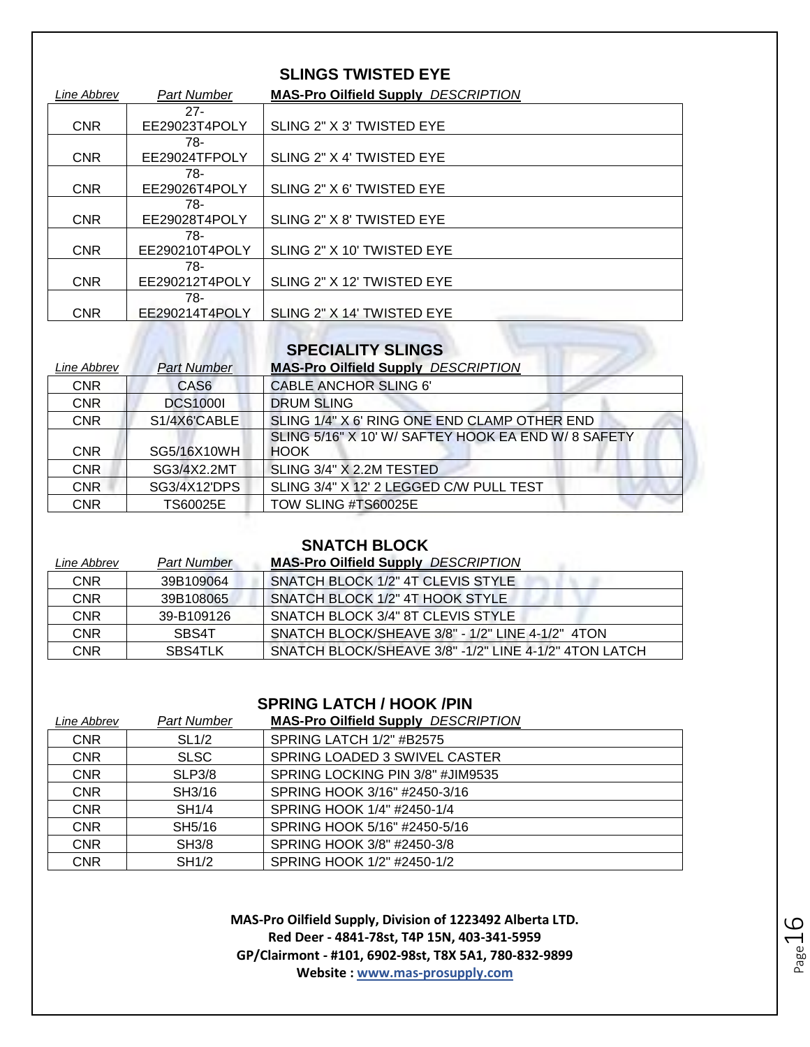#### **SLINGS TWISTED EYE**

| Line Abbrev | <b>Part Number</b> | <b>MAS-Pro Oilfield Supply DESCRIPTION</b> |
|-------------|--------------------|--------------------------------------------|
|             | $27 -$             |                                            |
| <b>CNR</b>  | EE29023T4POLY      | SLING 2" X 3' TWISTED EYE                  |
|             | 78-                |                                            |
| <b>CNR</b>  | EE29024TFPOLY      | SLING 2" X 4' TWISTED EYE                  |
|             | 78-                |                                            |
| <b>CNR</b>  | EE29026T4POLY      | SLING 2" X 6' TWISTED EYE                  |
|             | 78-                |                                            |
| <b>CNR</b>  | EE29028T4POLY      | SLING 2" X 8' TWISTED EYE                  |
|             | 78-                |                                            |
| <b>CNR</b>  | EE290210T4POLY     | SLING 2" X 10' TWISTED EYE                 |
|             | 78-                |                                            |
| <b>CNR</b>  | EE290212T4POLY     | SLING 2" X 12' TWISTED EYE                 |
|             | 78-                |                                            |
| <b>CNR</b>  | EE290214T4POLY     | SLING 2" X 14' TWISTED EYE                 |

#### **SPECIALITY SLINGS**

| Line Abbrev | <b>Part Number</b> | <b>MAS-Pro Oilfield Supply DESCRIPTION</b>          |
|-------------|--------------------|-----------------------------------------------------|
| <b>CNR</b>  | CAS <sub>6</sub>   | <b>CABLE ANCHOR SLING 6'</b>                        |
| <b>CNR</b>  | <b>DCS1000I</b>    | <b>DRUM SLING</b>                                   |
| <b>CNR</b>  | S1/4X6'CABLE       | SLING 1/4" X 6' RING ONE END CLAMP OTHER END        |
|             |                    | SLING 5/16" X 10' W/ SAFTEY HOOK EA END W/ 8 SAFETY |
| <b>CNR</b>  | SG5/16X10WH        | <b>HOOK</b>                                         |
| CNR         | SG3/4X2.2MT        | SLING 3/4" X 2.2M TESTED                            |
| <b>CNR</b>  | SG3/4X12'DPS       | SLING 3/4" X 12' 2 LEGGED C/W PULL TEST             |
| <b>CNR</b>  | TS60025E           | TOW SLING #TS60025E                                 |

#### **SNATCH BLOCK**

| Line Abbrev | <b>Part Number</b> | <b>MAS-Pro Oilfield Supply DESCRIPTION</b>            |
|-------------|--------------------|-------------------------------------------------------|
| <b>CNR</b>  | 39B109064          | SNATCH BLOCK 1/2" 4T CLEVIS STYLE                     |
| <b>CNR</b>  | 39B108065          | SNATCH BLOCK 1/2" 4T HOOK STYLE                       |
| <b>CNR</b>  | 39-B109126         | SNATCH BLOCK 3/4" 8T CLEVIS STYLE                     |
| <b>CNR</b>  | SBS4T              | SNATCH BLOCK/SHEAVE $3/8"$ - $1/2"$ LINE 4-1/2" 4TON  |
| CNR         | SBS4TLK            | SNATCH BLOCK/SHEAVE 3/8" -1/2" LINE 4-1/2" 4TON LATCH |

#### **SPRING LATCH / HOOK /PIN**

| Line Abbrev | <b>Part Number</b> | <b>MAS-Pro Oilfield Supply DESCRIPTION</b> |
|-------------|--------------------|--------------------------------------------|
| <b>CNR</b>  | SL <sub>1/2</sub>  | SPRING LATCH 1/2" #B2575                   |
| <b>CNR</b>  | <b>SLSC</b>        | SPRING LOADED 3 SWIVEL CASTER              |
| <b>CNR</b>  | SLP3/8             | SPRING LOCKING PIN 3/8" #JIM9535           |
| <b>CNR</b>  | SH3/16             | SPRING HOOK 3/16" #2450-3/16               |
| <b>CNR</b>  | <b>SH1/4</b>       | SPRING HOOK 1/4" #2450-1/4                 |
| <b>CNR</b>  | SH5/16             | SPRING HOOK 5/16" #2450-5/16               |
| <b>CNR</b>  | <b>SH3/8</b>       | SPRING HOOK 3/8" #2450-3/8                 |
| <b>CNR</b>  | SH1/2              | SPRING HOOK 1/2" #2450-1/2                 |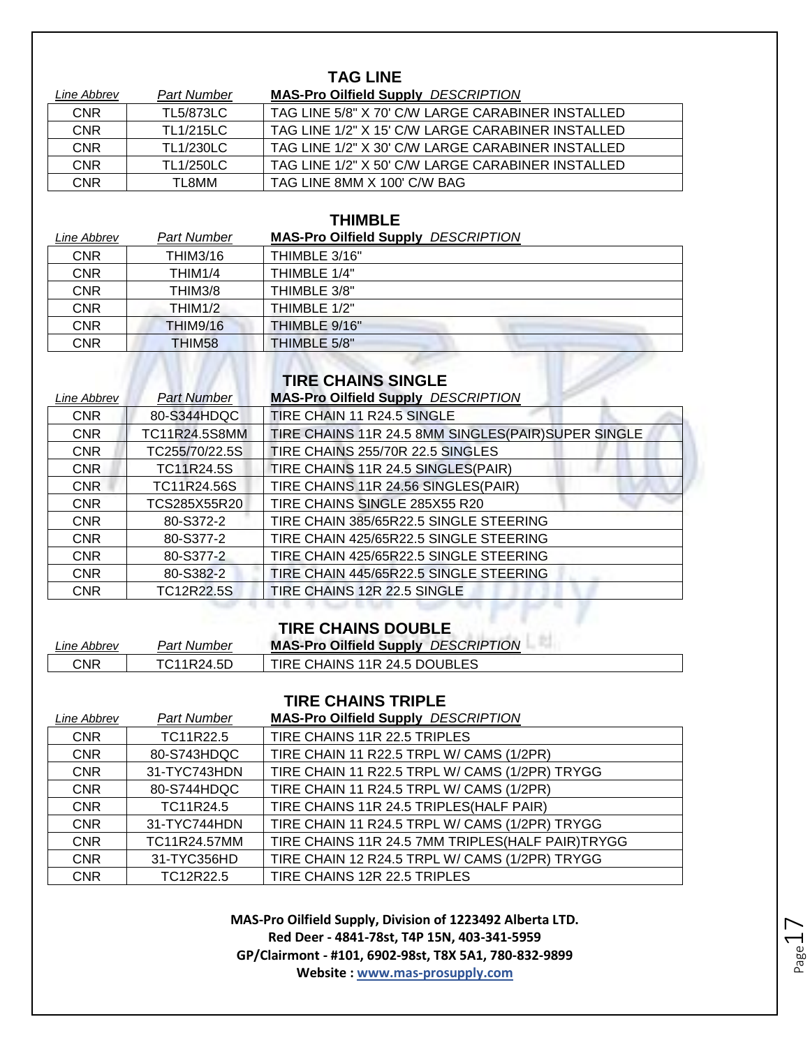| <b>TAG LINE</b> |                    |                                                   |
|-----------------|--------------------|---------------------------------------------------|
| Line Abbrev     | <b>Part Number</b> | <b>MAS-Pro Oilfield Supply DESCRIPTION</b>        |
| <b>CNR</b>      | <b>TL5/873LC</b>   | TAG LINE 5/8" X 70' C/W LARGE CARABINER INSTALLED |
| <b>CNR</b>      | <b>TL1/215LC</b>   | TAG LINE 1/2" X 15' C/W LARGE CARABINER INSTALLED |
| <b>CNR</b>      | <b>TL1/230LC</b>   | TAG LINE 1/2" X 30' C/W LARGE CARABINER INSTALLED |
| <b>CNR</b>      | <b>TL1/250LC</b>   | TAG LINE 1/2" X 50' C/W LARGE CARABINER INSTALLED |
| <b>CNR</b>      | TL8MM              | TAG LINE 8MM X 100' C/W BAG                       |

#### **THIMBLE**

*Line Abbrev Part Number* **MAS-Pro Oilfield Supply** *DESCRIPTION*

| LIIIG ANNIGV | an numbo             | <b>MAY THEIR SUPPLY</b><br><b>ULUUITII IIUI</b> |
|--------------|----------------------|-------------------------------------------------|
| <b>CNR</b>   | <b>THIM3/16</b>      | THIMBLE 3/16"                                   |
| <b>CNR</b>   | THIM1/4              | THIMBLE 1/4"                                    |
| <b>CNR</b>   | THIM3/8              | THIMBLE 3/8"                                    |
| <b>CNR</b>   | THIM <sub>1</sub> /2 | THIMBLE 1/2"                                    |
| <b>CNR</b>   | <b>THIM9/16</b>      | THIMBLE 9/16"                                   |
| CNR          | THIM58               | THIMBLE 5/8"                                    |

#### **TIRE CHAINS SINGLE**

| Line Abbrev | <b>Part Number</b> | <b>MAS-Pro Oilfield Supply DESCRIPTION</b>         |
|-------------|--------------------|----------------------------------------------------|
| <b>CNR</b>  | 80-S344HDQC        | TIRE CHAIN 11 R24.5 SINGLE                         |
| <b>CNR</b>  | TC11R24.5S8MM      | TIRE CHAINS 11R 24.5 8MM SINGLES(PAIR)SUPER SINGLE |
| <b>CNR</b>  | TC255/70/22.5S     | TIRE CHAINS 255/70R 22.5 SINGLES                   |
| <b>CNR</b>  | TC11R24.5S         | TIRE CHAINS 11R 24.5 SINGLES(PAIR)                 |
| <b>CNR</b>  | TC11R24.56S        | TIRE CHAINS 11R 24.56 SINGLES(PAIR)                |
| <b>CNR</b>  | TCS285X55R20       | TIRE CHAINS SINGLE 285X55 R20                      |
| <b>CNR</b>  | 80-S372-2          | TIRE CHAIN 385/65R22.5 SINGLE STEERING             |
| <b>CNR</b>  | 80-S377-2          | TIRE CHAIN 425/65R22.5 SINGLE STEERING             |
| <b>CNR</b>  | 80-S377-2          | TIRE CHAIN 425/65R22.5 SINGLE STEERING             |
| <b>CNR</b>  | 80-S382-2          | TIRE CHAIN 445/65R22.5 SINGLE STEERING             |
| <b>CNR</b>  | <b>TC12R22.5S</b>  | TIRE CHAINS 12R 22.5 SINGLE                        |
|             |                    |                                                    |

## **TIRE CHAINS DOUBLE**

| ∟ine Abbrev | <b>Part Number</b> | <b>MAS-Pro Oilfield Supply DESCRIPTION</b> |
|-------------|--------------------|--------------------------------------------|
| CNR         | TC11R24.5D         | TIRE CHAINS 11R 24.5 DOUBLES               |

#### **TIRE CHAINS TRIPLE**

| Line Abbrev | <b>Part Number</b> | <b>MAS-Pro Oilfield Supply DESCRIPTION</b>         |
|-------------|--------------------|----------------------------------------------------|
| <b>CNR</b>  | TC11R22.5          | TIRE CHAINS 11R 22.5 TRIPLES                       |
| <b>CNR</b>  | 80-S743HDQC        | TIRE CHAIN 11 R22.5 TRPL W/ CAMS (1/2PR)           |
| <b>CNR</b>  | 31-TYC743HDN       | TIRE CHAIN 11 R22.5 TRPL W/ CAMS (1/2PR) TRYGG     |
| <b>CNR</b>  | 80-S744HDQC        | TIRE CHAIN 11 R24.5 TRPL W/ CAMS (1/2PR)           |
| <b>CNR</b>  | TC11R24.5          | TIRE CHAINS 11R 24.5 TRIPLES (HALF PAIR)           |
| <b>CNR</b>  | 31-TYC744HDN       | TIRE CHAIN 11 R24.5 TRPL W/ CAMS (1/2PR) TRYGG     |
| <b>CNR</b>  | TC11R24.57MM       | TIRE CHAINS 11R 24.5 7MM TRIPLES (HALF PAIR) TRYGG |
| <b>CNR</b>  | 31-TYC356HD        | TIRE CHAIN 12 R24.5 TRPL W/ CAMS (1/2PR) TRYGG     |
| <b>CNR</b>  | TC12R22.5          | TIRE CHAINS 12R 22.5 TRIPLES                       |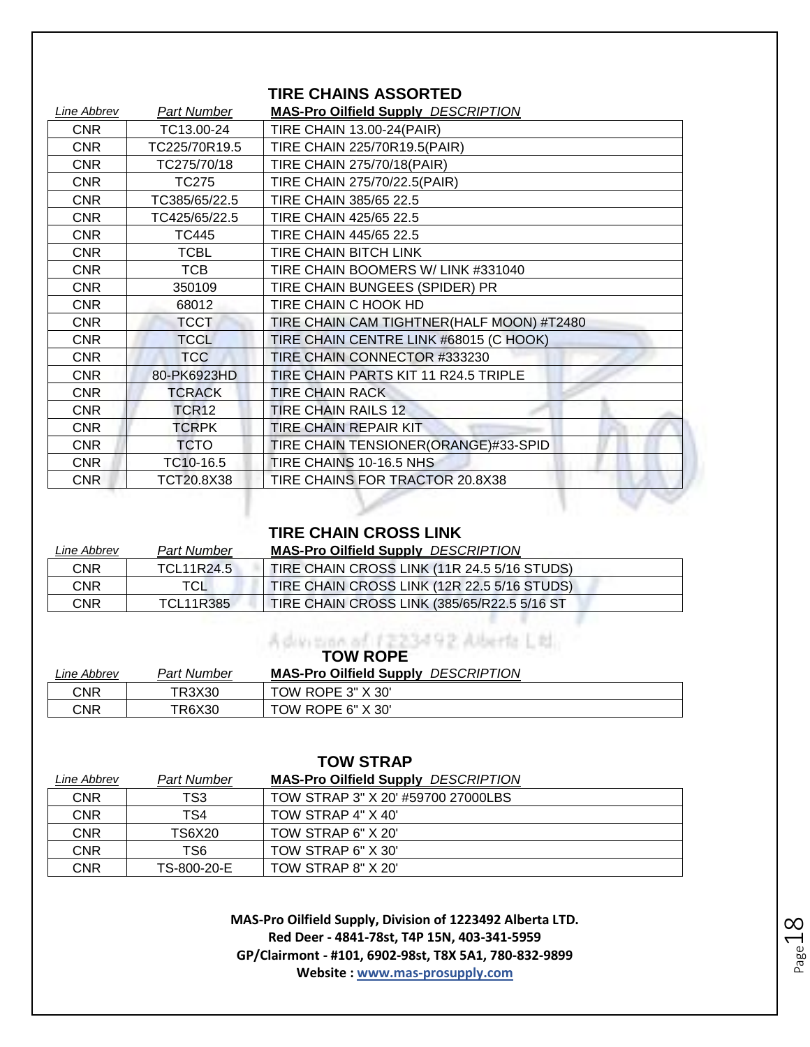#### **TIRE CHAINS ASSORTED**

| Line Abbrev | <b>Part Number</b> | <b>MAS-Pro Oilfield Supply DESCRIPTION</b> |
|-------------|--------------------|--------------------------------------------|
| <b>CNR</b>  | TC13.00-24         | <b>TIRE CHAIN 13.00-24(PAIR)</b>           |
| <b>CNR</b>  | TC225/70R19.5      | TIRE CHAIN 225/70R19.5(PAIR)               |
| <b>CNR</b>  | TC275/70/18        | <b>TIRE CHAIN 275/70/18(PAIR)</b>          |
| <b>CNR</b>  | <b>TC275</b>       | TIRE CHAIN 275/70/22.5(PAIR)               |
| <b>CNR</b>  | TC385/65/22.5      | TIRE CHAIN 385/65 22.5                     |
| <b>CNR</b>  | TC425/65/22.5      | TIRE CHAIN 425/65 22.5                     |
| <b>CNR</b>  | <b>TC445</b>       | TIRE CHAIN 445/65 22.5                     |
| CNR         | <b>TCBL</b>        | TIRE CHAIN BITCH LINK                      |
| <b>CNR</b>  | <b>TCB</b>         | TIRE CHAIN BOOMERS W/ LINK #331040         |
| <b>CNR</b>  | 350109             | TIRE CHAIN BUNGEES (SPIDER) PR             |
| CNR         | 68012              | TIRE CHAIN C HOOK HD                       |
| <b>CNR</b>  | <b>TCCT</b>        | TIRE CHAIN CAM TIGHTNER(HALF MOON) #T2480  |
| <b>CNR</b>  | <b>TCCL</b>        | TIRE CHAIN CENTRE LINK #68015 (C HOOK)     |
| <b>CNR</b>  | <b>TCC</b>         | TIRE CHAIN CONNECTOR #333230               |
| <b>CNR</b>  | 80-PK6923HD        | TIRE CHAIN PARTS KIT 11 R24.5 TRIPLE       |
| CNR         | <b>TCRACK</b>      | <b>TIRE CHAIN RACK</b>                     |
| CNR         | TCR <sub>12</sub>  | <b>TIRE CHAIN RAILS 12</b>                 |
| <b>CNR</b>  | <b>TCRPK</b>       | TIRE CHAIN REPAIR KIT                      |
| <b>CNR</b>  | <b>TCTO</b>        | TIRE CHAIN TENSIONER(ORANGE)#33-SPID       |
| <b>CNR</b>  | TC10-16.5          | TIRE CHAINS 10-16.5 NHS                    |
| <b>CNR</b>  | TCT20.8X38         | TIRE CHAINS FOR TRACTOR 20.8X38            |

#### **TIRE CHAIN CROSS LINK**

| Line Abbrev | Part Number      | <b>MAS-Pro Oilfield Supply DESCRIPTION</b>  |
|-------------|------------------|---------------------------------------------|
| <b>CNR</b>  | TCL11R24.5       | TIRE CHAIN CROSS LINK (11R 24.5 5/16 STUDS) |
| <b>CNR</b>  | TCL              | TIRE CHAIN CROSS LINK (12R 22.5 5/16 STUDS) |
| CNR         | <b>TCL11R385</b> | TIRE CHAIN CROSS LINK (385/65/R22.5 5/16 ST |
|             |                  |                                             |

## **TOW ROPE**

| Line Abbrev | Part Number | <b>MAS-Pro Oilfield Supply DESCRIPTION</b> |
|-------------|-------------|--------------------------------------------|
| CNR         | TR3X30      | TOW ROPE 3" X 30"                          |
| CNR         | TR6X30      | TOW ROPE 6" X 30"                          |

| <b>TOW STRAP</b> |             |                                            |  |
|------------------|-------------|--------------------------------------------|--|
| Line Abbrev      | Part Number | <b>MAS-Pro Oilfield Supply DESCRIPTION</b> |  |
| <b>CNR</b>       | TS3         | TOW STRAP 3" X 20' #59700 27000LBS         |  |
| <b>CNR</b>       | TS4         | TOW STRAP 4" X 40"                         |  |
| <b>CNR</b>       | TS6X20      | TOW STRAP 6" X 20"                         |  |
| <b>CNR</b>       | TS6         | TOW STRAP 6" X 30"                         |  |
| <b>CNR</b>       | TS-800-20-E | TOW STRAP 8" X 20"                         |  |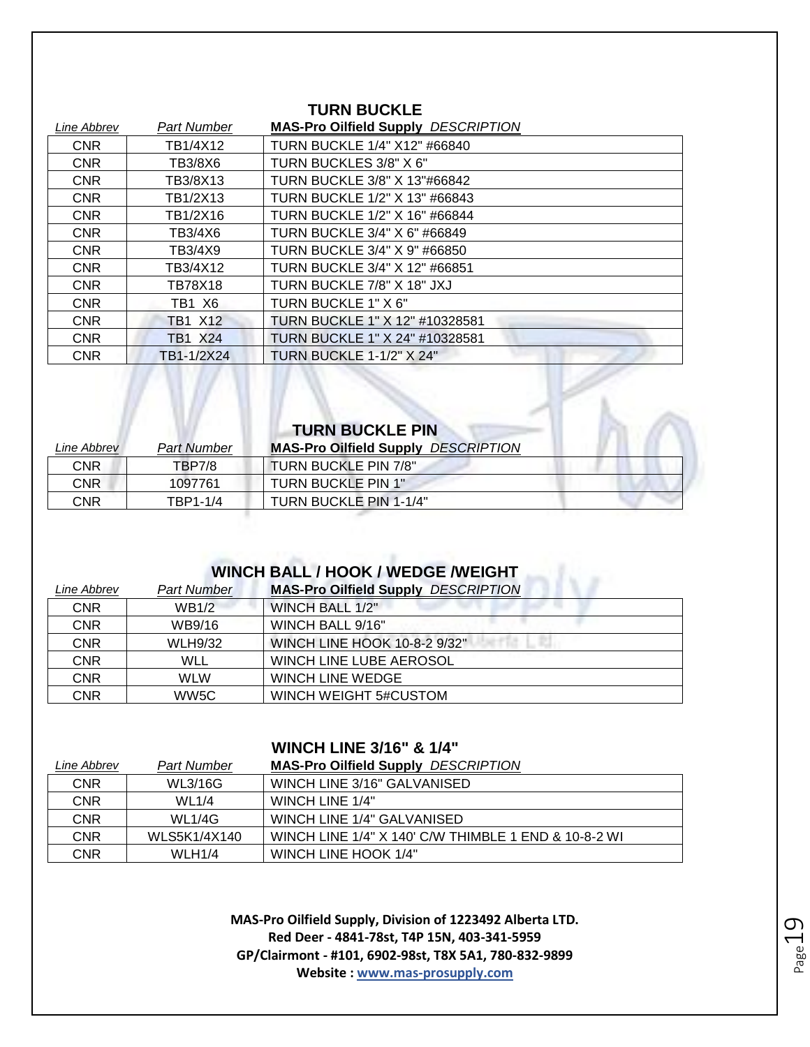| I UNIV DUWNLE |                    |                                            |
|---------------|--------------------|--------------------------------------------|
| Line Abbrev   | <b>Part Number</b> | <b>MAS-Pro Oilfield Supply DESCRIPTION</b> |
| <b>CNR</b>    | TB1/4X12           | TURN BUCKLE 1/4" X12" #66840               |
| <b>CNR</b>    | TB3/8X6            | TURN BUCKLES 3/8" X 6"                     |
| <b>CNR</b>    | TB3/8X13           | TURN BUCKLE 3/8" X 13"#66842               |
| <b>CNR</b>    | TB1/2X13           | TURN BUCKLE 1/2" X 13" #66843              |
| <b>CNR</b>    | TB1/2X16           | TURN BUCKLE 1/2" X 16" #66844              |
| <b>CNR</b>    | TB3/4X6            | TURN BUCKLE 3/4" X 6" #66849               |
| <b>CNR</b>    | TB3/4X9            | TURN BUCKLE 3/4" X 9" #66850               |
| <b>CNR</b>    | TB3/4X12           | TURN BUCKLE 3/4" X 12" #66851              |
| <b>CNR</b>    | TB78X18            | TURN BUCKLE 7/8" X 18" JXJ                 |
| <b>CNR</b>    | TB1 X6             | TURN BUCKLE 1" X 6"                        |
| <b>CNR</b>    | <b>TB1 X12</b>     | TURN BUCKLE 1" X 12" #10328581             |
| <b>CNR</b>    | <b>TB1 X24</b>     | TURN BUCKLE 1" X 24" #10328581             |
| <b>CNR</b>    | TB1-1/2X24         | TURN BUCKLE 1-1/2" X 24"                   |

**TURN BUCKLE** 

|             |                    | <b>TURN BUCKLE PIN</b>                     |  |
|-------------|--------------------|--------------------------------------------|--|
| Line Abbrev | <b>Part Number</b> | <b>MAS-Pro Oilfield Supply DESCRIPTION</b> |  |
| <b>CNR</b>  | <b>TBP7/8</b>      | TURN BUCKLE PIN 7/8"                       |  |
| <b>CNR</b>  | 1097761            | TURN BUCKLE PIN 1"                         |  |
| CNR         | TBP1-1/4           | TURN BUCKLE PIN 1-1/4"                     |  |

#### **WINCH BALL / HOOK / WEDGE /WEIGHT**

| Line Abbrev | <b>Part Number</b> | <b>MAS-Pro Oilfield Supply DESCRIPTION</b> |
|-------------|--------------------|--------------------------------------------|
| <b>CNR</b>  | <b>WB1/2</b>       | WINCH BALL 1/2"                            |
| <b>CNR</b>  | WB9/16             | WINCH BALL 9/16"                           |
| <b>CNR</b>  | <b>WLH9/32</b>     | WINCH LINE HOOK 10-8-2 9/32"               |
| <b>CNR</b>  | WLL                | WINCH LINE LUBE AEROSOL                    |
| <b>CNR</b>  | WI W               | WINCH LINE WEDGE                           |
| <b>CNR</b>  | WW5C               | WINCH WEIGHT 5#CUSTOM                      |

#### **WINCH LINE 3/16" & 1/4"**

| Line Abbrev | Part Number  | <b>MAS-Pro Oilfield Supply DESCRIPTION</b>           |
|-------------|--------------|------------------------------------------------------|
| <b>CNR</b>  | WL3/16G      | WINCH LINE 3/16" GALVANISED                          |
| <b>CNR</b>  | WL1/4        | WINCH LINE 1/4"                                      |
| <b>CNR</b>  | WL1/4G       | WINCH LINE 1/4" GALVANISED                           |
| <b>CNR</b>  | WLS5K1/4X140 | WINCH LINE 1/4" X 140' C/W THIMBLE 1 END & 10-8-2 WI |
| CNR         | WLH1/4       | WINCH LINE HOOK 1/4"                                 |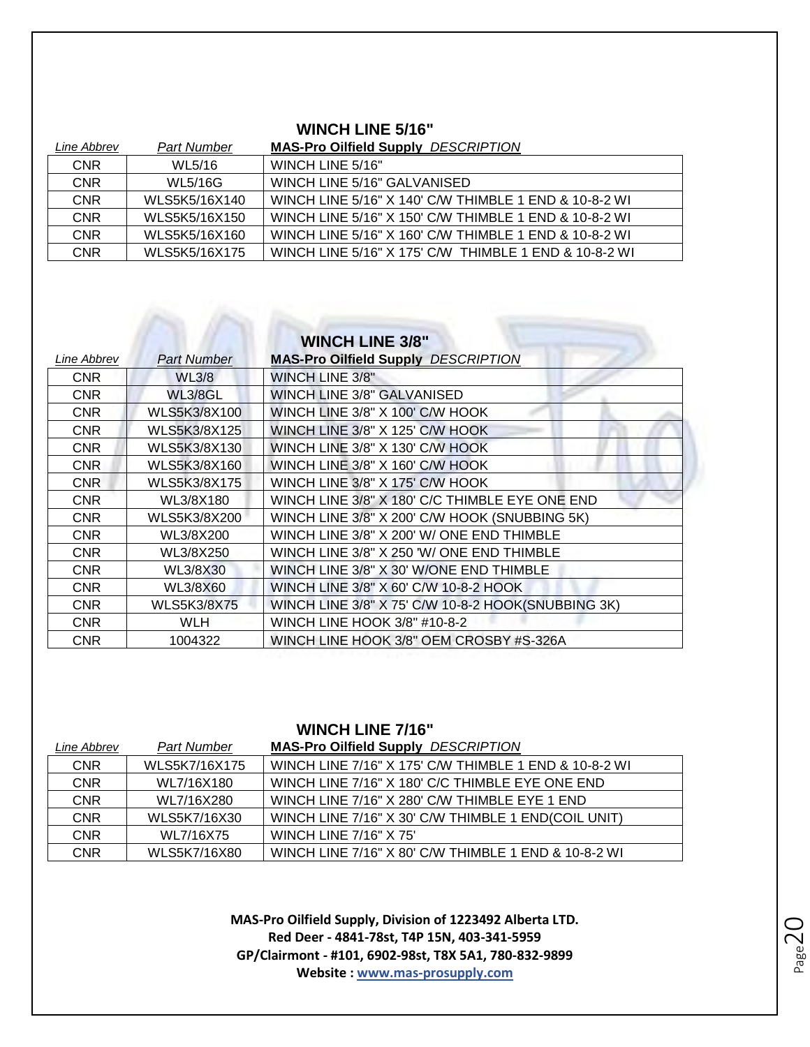#### **WINCH LINE 5/16"**

| Line Abbrev | Part Number    | <b>MAS-Pro Oilfield Supply DESCRIPTION</b>            |
|-------------|----------------|-------------------------------------------------------|
| <b>CNR</b>  | WL5/16         | WINCH LINE 5/16"                                      |
| <b>CNR</b>  | <b>WL5/16G</b> | WINCH LINE 5/16" GALVANISED                           |
| <b>CNR</b>  | WLS5K5/16X140  | WINCH LINE 5/16" X 140' C/W THIMBLE 1 END & 10-8-2 WI |
| <b>CNR</b>  | WLS5K5/16X150  | WINCH LINE 5/16" X 150' C/W THIMBLE 1 END & 10-8-2 WI |
| <b>CNR</b>  | WLS5K5/16X160  | WINCH LINE 5/16" X 160' C/W THIMBLE 1 END & 10-8-2 WI |
| <b>CNR</b>  | WLS5K5/16X175  | WINCH LINE 5/16" X 175' C/W THIMBLE 1 END & 10-8-2 WI |

## **WINCH LINE 3/8"**

| Line Abbrev | Part Number        | <b>MAS-Pro Oilfield Supply DESCRIPTION</b>         |
|-------------|--------------------|----------------------------------------------------|
| <b>CNR</b>  | <b>WL3/8</b>       | <b>WINCH LINE 3/8"</b>                             |
| <b>CNR</b>  | WL3/8GL            | <b>WINCH LINE 3/8" GALVANISED</b>                  |
| <b>CNR</b>  | WLS5K3/8X100       | WINCH LINE 3/8" X 100' C/W HOOK                    |
| <b>CNR</b>  | WLS5K3/8X125       | WINCH LINE 3/8" X 125' C/W HOOK                    |
| <b>CNR</b>  | WLS5K3/8X130       | WINCH LINE 3/8" X 130' C/W HOOK                    |
| <b>CNR</b>  | WLS5K3/8X160       | WINCH LINE 3/8" X 160' C/W HOOK                    |
| <b>CNR</b>  | WLS5K3/8X175       | WINCH LINE 3/8" X 175' C/W HOOK                    |
| <b>CNR</b>  | WL3/8X180          | WINCH LINE 3/8" X 180' C/C THIMBLE EYE ONE END     |
| <b>CNR</b>  | WLS5K3/8X200       | WINCH LINE 3/8" X 200' C/W HOOK (SNUBBING 5K)      |
| <b>CNR</b>  | WL3/8X200          | WINCH LINE 3/8" X 200' W/ ONE END THIMBLE          |
| <b>CNR</b>  | WL3/8X250          | WINCH LINE 3/8" X 250 'W/ ONE END THIMBLE          |
| <b>CNR</b>  | WL3/8X30           | WINCH LINE 3/8" X 30' W/ONE END THIMBLE            |
| <b>CNR</b>  | WL3/8X60           | WINCH LINE 3/8" X 60' C/W 10-8-2 HOOK              |
| <b>CNR</b>  | <b>WLS5K3/8X75</b> | WINCH LINE 3/8" X 75' C/W 10-8-2 HOOK(SNUBBING 3K) |
| <b>CNR</b>  | <b>WLH</b>         | WINCH LINE HOOK 3/8" #10-8-2                       |
| <b>CNR</b>  | 1004322            | WINCH LINE HOOK 3/8" OEM CROSBY #S-326A            |

#### **WINCH LINE 7/16"**

| Line Abbrev | <b>Part Number</b> | <b>MAS-Pro Oilfield Supply DESCRIPTION</b>            |
|-------------|--------------------|-------------------------------------------------------|
| <b>CNR</b>  | WLS5K7/16X175      | WINCH LINE 7/16" X 175' C/W THIMBLE 1 END & 10-8-2 WI |
| <b>CNR</b>  | WL7/16X180         | WINCH LINE 7/16" X 180' C/C THIMBLE EYE ONE END       |
| <b>CNR</b>  | WL7/16X280         | WINCH LINE 7/16" X 280' C/W THIMBLE EYE 1 END         |
| <b>CNR</b>  | WLS5K7/16X30       | WINCH LINE 7/16" X 30' C/W THIMBLE 1 END(COIL UNIT)   |
| <b>CNR</b>  | WL7/16X75          | <b>WINCH LINE 7/16" X 75'</b>                         |
| <b>CNR</b>  | WLS5K7/16X80       | WINCH LINE 7/16" X 80' C/W THIMBLE 1 END & 10-8-2 WI  |

Page20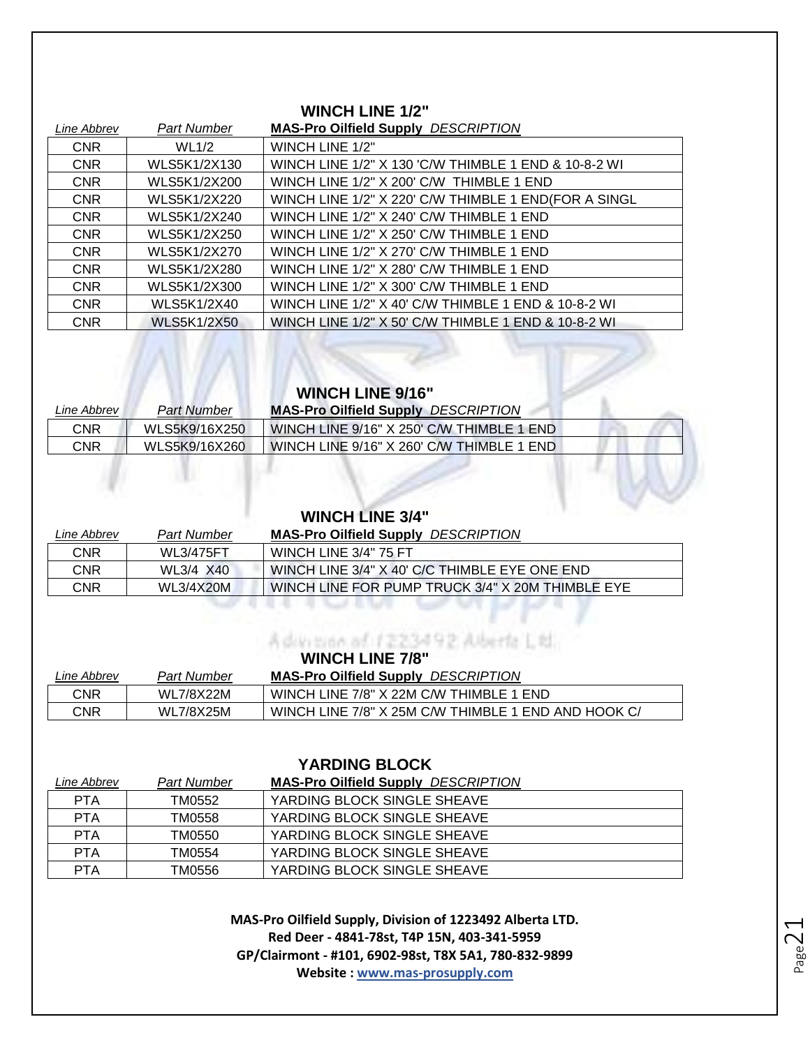#### **WINCH LINE 1/2"**

| Line Abbrev | Part Number        | <b>MAS-Pro Oilfield Supply DESCRIPTION</b>           |
|-------------|--------------------|------------------------------------------------------|
| <b>CNR</b>  | <b>WL1/2</b>       | WINCH LINE 1/2"                                      |
| <b>CNR</b>  | WLS5K1/2X130       | WINCH LINE 1/2" X 130 'C/W THIMBLE 1 END & 10-8-2 WI |
| <b>CNR</b>  | WLS5K1/2X200       | WINCH LINE 1/2" X 200' C/W THIMBLE 1 END             |
| <b>CNR</b>  | WLS5K1/2X220       | WINCH LINE 1/2" X 220' C/W THIMBLE 1 END(FOR A SINGL |
| <b>CNR</b>  | WLS5K1/2X240       | WINCH LINE 1/2" X 240' C/W THIMBLE 1 END             |
| <b>CNR</b>  | WLS5K1/2X250       | WINCH LINE 1/2" X 250' C/W THIMBLE 1 END             |
| <b>CNR</b>  | WLS5K1/2X270       | WINCH LINE 1/2" X 270' C/W THIMBLE 1 END             |
| <b>CNR</b>  | WLS5K1/2X280       | WINCH LINE 1/2" X 280' C/W THIMBLE 1 END             |
| <b>CNR</b>  | WLS5K1/2X300       | WINCH LINE 1/2" X 300' C/W THIMBLE 1 END             |
| <b>CNR</b>  | WLS5K1/2X40        | WINCH LINE 1/2" X 40' C/W THIMBLE 1 END & 10-8-2 WI  |
| <b>CNR</b>  | <b>WLS5K1/2X50</b> | WINCH LINE 1/2" X 50' C/W THIMBLE 1 END & 10-8-2 WI  |

### **WINCH LINE 9/16"**

| Line Abbrev | Part Number   | <b>MAS-Pro Oilfield Supply DESCRIPTION</b> |
|-------------|---------------|--------------------------------------------|
| CNR         | WLS5K9/16X250 | WINCH LINE 9/16" X 250' C/W THIMBLE 1 END  |
| CNR         | WLS5K9/16X260 | WINCH LINE 9/16" X 260' C/W THIMBLE 1 END  |

#### **WINCH LINE 3/4"**

| Line Abbrev | Part Number      | <b>MAS-Pro Oilfield Supply DESCRIPTION</b>       |
|-------------|------------------|--------------------------------------------------|
| CNR         | <b>WL3/475FT</b> | WINCH LINE 3/4" 75 FT                            |
| CNR         | WL3/4 X40        | WINCH LINE 3/4" X 40' C/C THIMBLE EYE ONE END    |
| CNR         | <b>WL3/4X20M</b> | WINCH LINE FOR PUMP TRUCK 3/4" X 20M THIMBLE EYE |
|             |                  |                                                  |
|             |                  |                                                  |

#### A division of 1223492 Alberta Ltd. **WINCH LINE 7/8"**

| Line Abbrev | <b>Part Number</b> | *****************<br><b>MAS-Pro Oilfield Supply DESCRIPTION</b> |
|-------------|--------------------|-----------------------------------------------------------------|
| CNR         | <b>WL7/8X22M</b>   | WINCH LINE 7/8" X 22M C/W THIMBLE 1 END                         |
| CNR         | <b>WL7/8X25M</b>   | WINCH LINE 7/8" X 25M C/W THIMBLE 1 END AND HOOK C/             |

| <b>YARDING BLOCK</b> |             |                                            |
|----------------------|-------------|--------------------------------------------|
| Line Abbrev          | Part Number | <b>MAS-Pro Oilfield Supply DESCRIPTION</b> |
| <b>PTA</b>           | TM0552      | YARDING BLOCK SINGLE SHEAVE                |
| <b>PTA</b>           | TM0558      | YARDING BLOCK SINGLE SHEAVE                |
| <b>PTA</b>           | TM0550      | YARDING BLOCK SINGLE SHEAVE                |
| <b>PTA</b>           | TM0554      | YARDING BLOCK SINGLE SHEAVE                |
| <b>PTA</b>           | TM0556      | YARDING BLOCK SINGLE SHEAVE                |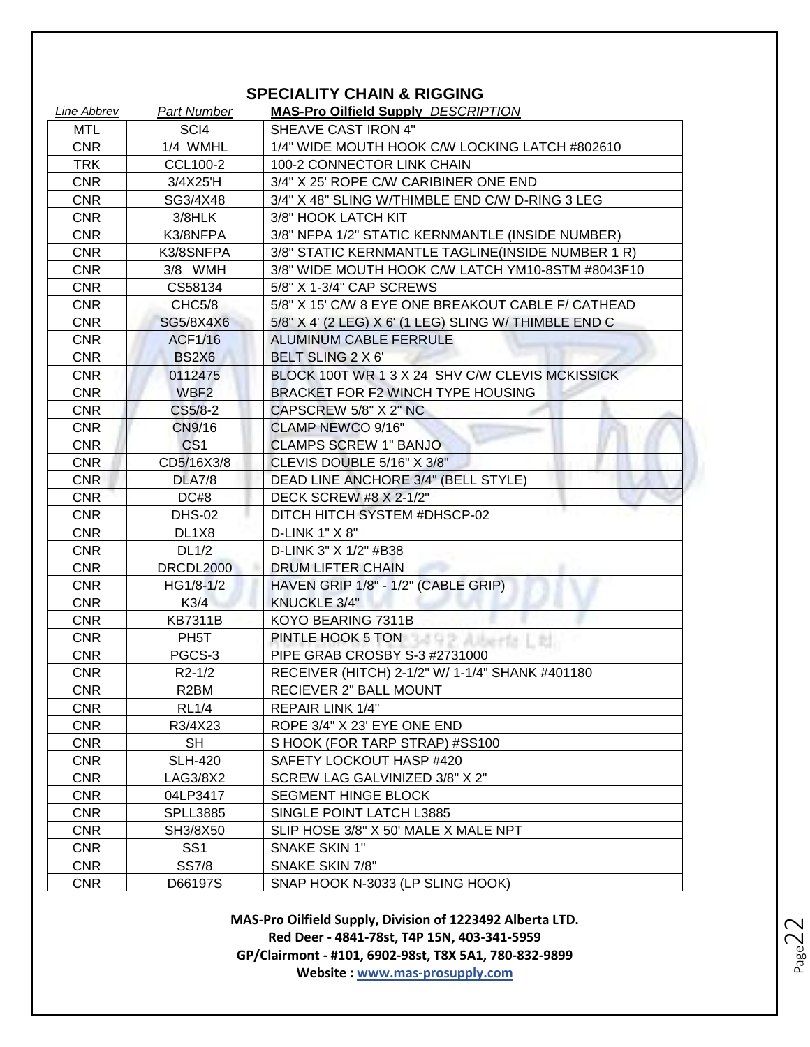#### **SPECIALITY CHAIN & RIGGING**

| Line Abbrev | <b>Part Number</b>  | <b>MAS-Pro Oilfield Supply DESCRIPTION</b>            |
|-------------|---------------------|-------------------------------------------------------|
| MTL         | SCI4                | SHEAVE CAST IRON 4"                                   |
| <b>CNR</b>  | 1/4 WMHL            | 1/4" WIDE MOUTH HOOK C/W LOCKING LATCH #802610        |
| <b>TRK</b>  | CCL100-2            | 100-2 CONNECTOR LINK CHAIN                            |
| <b>CNR</b>  | 3/4X25'H            | 3/4" X 25' ROPE C/W CARIBINER ONE END                 |
| <b>CNR</b>  | SG3/4X48            | 3/4" X 48" SLING W/THIMBLE END C/W D-RING 3 LEG       |
| <b>CNR</b>  | 3/8HLK              | 3/8" HOOK LATCH KIT                                   |
| <b>CNR</b>  | K3/8NFPA            | 3/8" NFPA 1/2" STATIC KERNMANTLE (INSIDE NUMBER)      |
| <b>CNR</b>  | K3/8SNFPA           | 3/8" STATIC KERNMANTLE TAGLINE (INSIDE NUMBER 1 R)    |
| <b>CNR</b>  | 3/8 WMH             | 3/8" WIDE MOUTH HOOK C/W LATCH YM10-8STM #8043F10     |
| <b>CNR</b>  | CS58134             | 5/8" X 1-3/4" CAP SCREWS                              |
| <b>CNR</b>  | CHC5/8              | 5/8" X 15' C/W 8 EYE ONE BREAKOUT CABLE F/ CATHEAD    |
| <b>CNR</b>  | SG5/8X4X6           | 5/8" X 4' (2 LEG) X 6' (1 LEG) SLING W/ THIMBLE END C |
| <b>CNR</b>  | <b>ACF1/16</b>      | ALUMINUM CABLE FERRULE                                |
| <b>CNR</b>  | <b>BS2X6</b>        | BELT SLING 2 X 6'                                     |
| <b>CNR</b>  | 0112475             | BLOCK 100T WR 1 3 X 24 SHV C/W CLEVIS MCKISSICK       |
| <b>CNR</b>  | WBF <sub>2</sub>    | BRACKET FOR F2 WINCH TYPE HOUSING                     |
| <b>CNR</b>  | CS5/8-2             | CAPSCREW 5/8" X 2" NC                                 |
| <b>CNR</b>  | CN9/16              | CLAMP NEWCO 9/16"                                     |
| <b>CNR</b>  | CS <sub>1</sub>     | <b>CLAMPS SCREW 1" BANJO</b>                          |
| <b>CNR</b>  | CD5/16X3/8          | CLEVIS DOUBLE 5/16" X 3/8"                            |
| <b>CNR</b>  | <b>DLA7/8</b>       | DEAD LINE ANCHORE 3/4" (BELL STYLE)                   |
| <b>CNR</b>  | DC#8                | DECK SCREW #8 X 2-1/2"                                |
| <b>CNR</b>  | <b>DHS-02</b>       | DITCH HITCH SYSTEM #DHSCP-02                          |
| <b>CNR</b>  | DL1X8               | D-LINK 1" X 8"                                        |
| <b>CNR</b>  | DL1/2               | D-LINK 3" X 1/2" #B38                                 |
| <b>CNR</b>  | DRCDL2000           | DRUM LIFTER CHAIN                                     |
| <b>CNR</b>  | HG1/8-1/2           | HAVEN GRIP 1/8" - 1/2" (CABLE GRIP)                   |
| <b>CNR</b>  | K3/4                | KNUCKLE 3/4"                                          |
| <b>CNR</b>  | <b>KB7311B</b>      | KOYO BEARING 7311B                                    |
| <b>CNR</b>  | PH <sub>5</sub> T   | PINTLE HOOK 5 TON THE RESIDENCE OF A STRUCK STOLEN.   |
| <b>CNR</b>  | PGCS-3              | PIPE GRAB CROSBY S-3 #2731000                         |
| <b>CNR</b>  | R <sub>2</sub> -1/2 | RECEIVER (HITCH) 2-1/2" W/ 1-1/4" SHANK #401180       |
| <b>CNR</b>  | R2BM                | RECIEVER 2" BALL MOUNT                                |
| <b>CNR</b>  | <b>RL1/4</b>        | <b>REPAIR LINK 1/4"</b>                               |
| <b>CNR</b>  | R3/4X23             | ROPE 3/4" X 23' EYE ONE END                           |
| <b>CNR</b>  | <b>SH</b>           | S HOOK (FOR TARP STRAP) #SS100                        |
| <b>CNR</b>  | <b>SLH-420</b>      | SAFETY LOCKOUT HASP #420                              |
| <b>CNR</b>  | LAG3/8X2            | SCREW LAG GALVINIZED 3/8" X 2"                        |
| <b>CNR</b>  | 04LP3417            | <b>SEGMENT HINGE BLOCK</b>                            |
| <b>CNR</b>  | <b>SPLL3885</b>     | SINGLE POINT LATCH L3885                              |
| <b>CNR</b>  | SH3/8X50            | SLIP HOSE 3/8" X 50' MALE X MALE NPT                  |
| <b>CNR</b>  | SS <sub>1</sub>     | SNAKE SKIN 1"                                         |
| <b>CNR</b>  | <b>SS7/8</b>        | SNAKE SKIN 7/8"                                       |
| <b>CNR</b>  | D66197S             | SNAP HOOK N-3033 (LP SLING HOOK)                      |